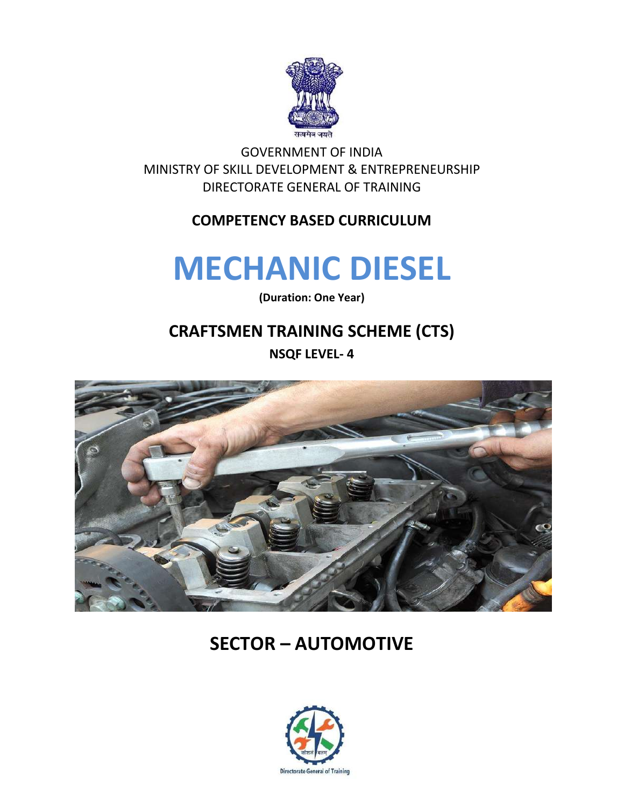

GOVERNMENT OF INDIA MINISTRY OF SKILL DEVELOPMENT & ENTREPRENEURSHIP DIRECTORATE GENERAL OF TRAINING

## **COMPETENCY BASED CURRICULUM**

# **MECHANIC DIESEL**

**(Duration: One Year)**

# **CRAFTSMEN TRAINING SCHEME (CTS)**

**NSQF LEVEL- 4**



# **SECTOR – AUTOMOTIVE**

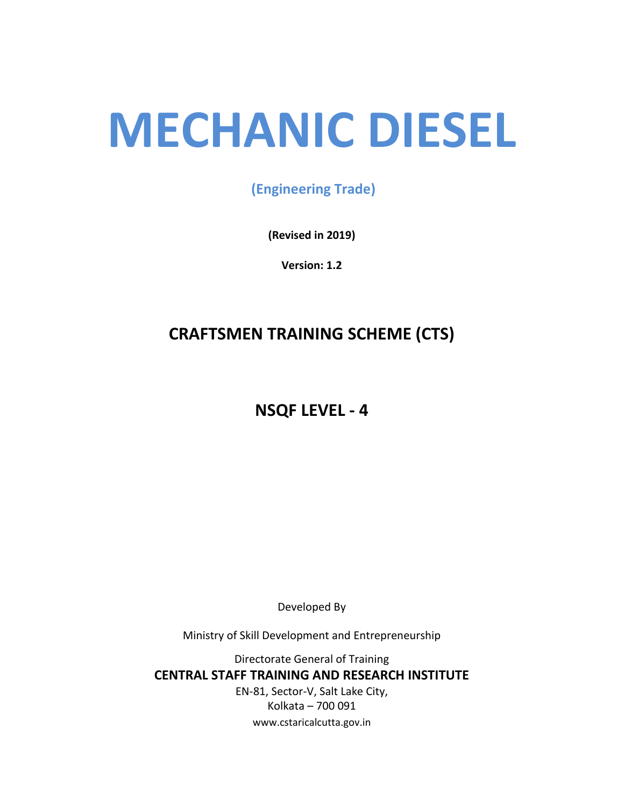# **MECHANIC DIESEL**

## **(Engineering Trade)**

**(Revised in 2019)**

**Version: 1.2**

# **CRAFTSMEN TRAINING SCHEME (CTS)**

# **NSQF LEVEL - 4**

Developed By

Ministry of Skill Development and Entrepreneurship

Directorate General of Training **CENTRAL STAFF TRAINING AND RESEARCH INSTITUTE** EN-81, Sector-V, Salt Lake City, Kolkata – 700 091 www.cstaricalcutta.gov.in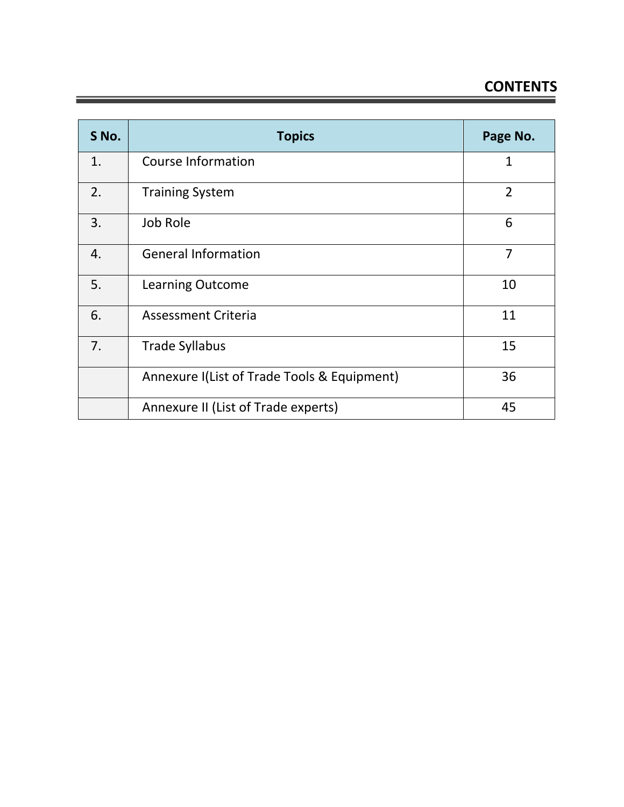# **CONTENTS**

| S No. | <b>Topics</b>                               | Page No.       |
|-------|---------------------------------------------|----------------|
| 1.    | <b>Course Information</b>                   | $\mathbf{1}$   |
| 2.    | <b>Training System</b>                      | $\overline{2}$ |
| 3.    | Job Role                                    | 6              |
| 4.    | <b>General Information</b>                  | 7              |
| 5.    | <b>Learning Outcome</b>                     | 10             |
| 6.    | <b>Assessment Criteria</b>                  | 11             |
| 7.    | <b>Trade Syllabus</b>                       | 15             |
|       | Annexure I(List of Trade Tools & Equipment) | 36             |
|       | Annexure II (List of Trade experts)         | 45             |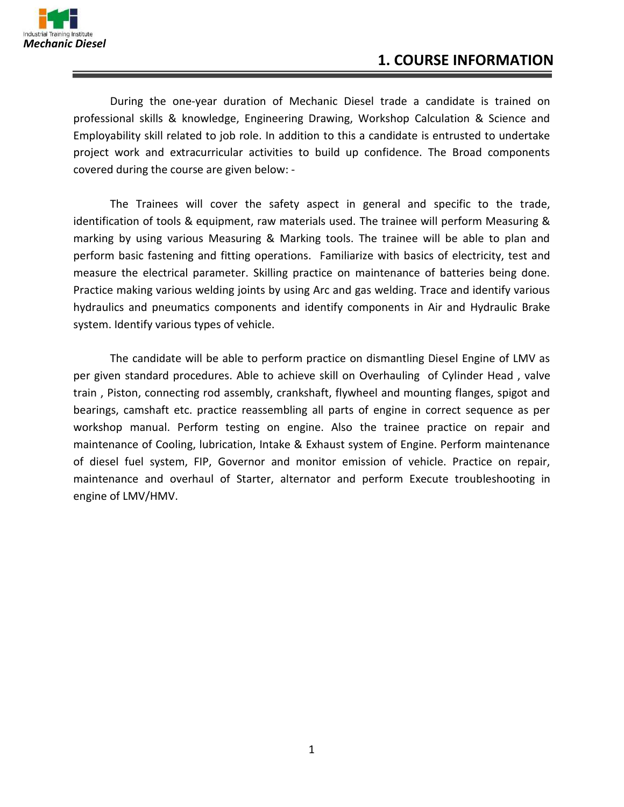

During the one-year duration of Mechanic Diesel trade a candidate is trained on professional skills & knowledge, Engineering Drawing, Workshop Calculation & Science and Employability skill related to job role. In addition to this a candidate is entrusted to undertake project work and extracurricular activities to build up confidence. The Broad components covered during the course are given below: -

The Trainees will cover the safety aspect in general and specific to the trade, identification of tools & equipment, raw materials used. The trainee will perform Measuring & marking by using various Measuring & Marking tools. The trainee will be able to plan and perform basic fastening and fitting operations. Familiarize with basics of electricity, test and measure the electrical parameter. Skilling practice on maintenance of batteries being done. Practice making various welding joints by using Arc and gas welding. Trace and identify various hydraulics and pneumatics components and identify components in Air and Hydraulic Brake system. Identify various types of vehicle.

The candidate will be able to perform practice on dismantling Diesel Engine of LMV as per given standard procedures. Able to achieve skill on Overhauling of Cylinder Head , valve train , Piston, connecting rod assembly, crankshaft, flywheel and mounting flanges, spigot and bearings, camshaft etc. practice reassembling all parts of engine in correct sequence as per workshop manual. Perform testing on engine. Also the trainee practice on repair and maintenance of Cooling, lubrication, Intake & Exhaust system of Engine. Perform maintenance of diesel fuel system, FIP, Governor and monitor emission of vehicle. Practice on repair, maintenance and overhaul of Starter, alternator and perform Execute troubleshooting in engine of LMV/HMV.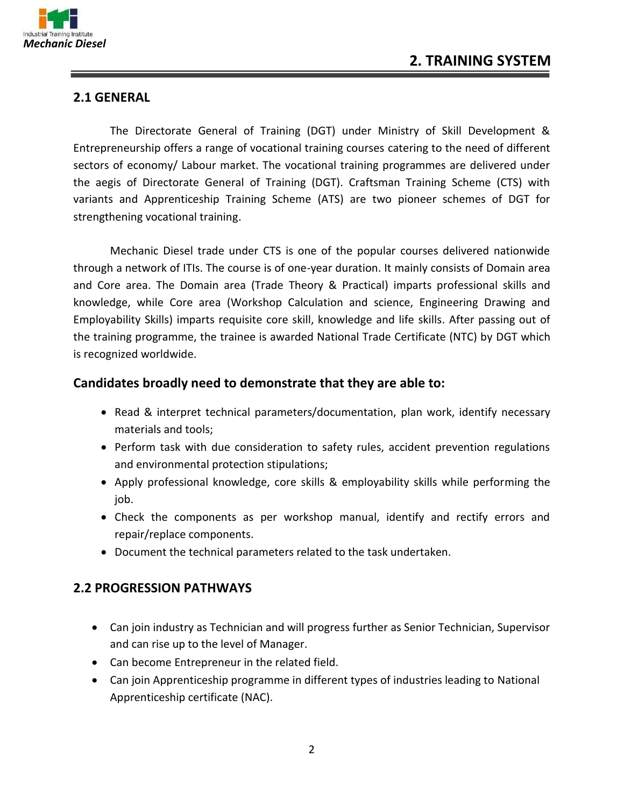

#### **2.1 GENERAL**

The Directorate General of Training (DGT) under Ministry of Skill Development & Entrepreneurship offers a range of vocational training courses catering to the need of different sectors of economy/ Labour market. The vocational training programmes are delivered under the aegis of Directorate General of Training (DGT). Craftsman Training Scheme (CTS) with variants and Apprenticeship Training Scheme (ATS) are two pioneer schemes of DGT for strengthening vocational training.

Mechanic Diesel trade under CTS is one of the popular courses delivered nationwide through a network of ITIs. The course is of one-year duration. It mainly consists of Domain area and Core area. The Domain area (Trade Theory & Practical) imparts professional skills and knowledge, while Core area (Workshop Calculation and science, Engineering Drawing and Employability Skills) imparts requisite core skill, knowledge and life skills. After passing out of the training programme, the trainee is awarded National Trade Certificate (NTC) by DGT which is recognized worldwide.

#### **Candidates broadly need to demonstrate that they are able to:**

- Read & interpret technical parameters/documentation, plan work, identify necessary materials and tools;
- Perform task with due consideration to safety rules, accident prevention regulations and environmental protection stipulations;
- Apply professional knowledge, core skills & employability skills while performing the job.
- Check the components as per workshop manual, identify and rectify errors and repair/replace components.
- Document the technical parameters related to the task undertaken.

#### **2.2 PROGRESSION PATHWAYS**

- Can join industry as Technician and will progress further as Senior Technician, Supervisor and can rise up to the level of Manager.
- Can become Entrepreneur in the related field.
- Can join Apprenticeship programme in different types of industries leading to National Apprenticeship certificate (NAC).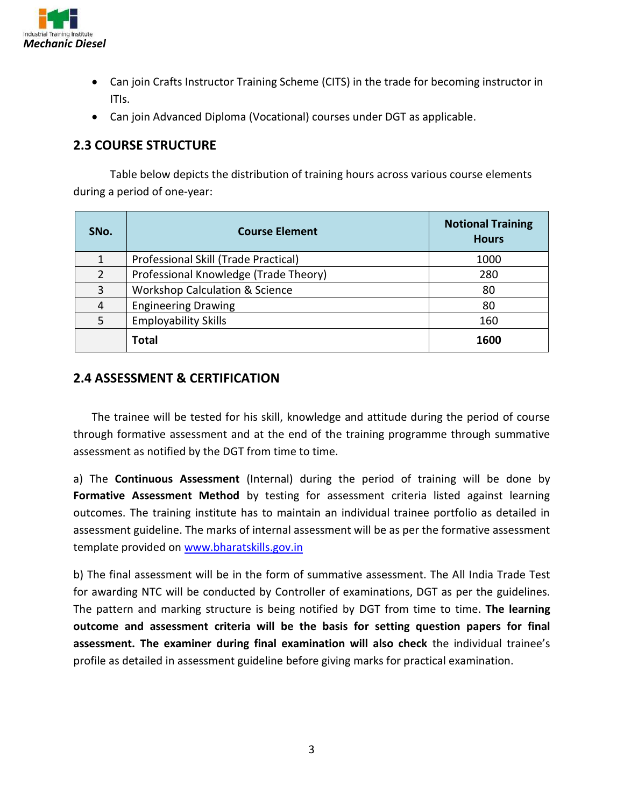

- Can join Crafts Instructor Training Scheme (CITS) in the trade for becoming instructor in ITIs.
- Can join Advanced Diploma (Vocational) courses under DGT as applicable.

#### **2.3 COURSE STRUCTURE**

Table below depicts the distribution of training hours across various course elements during a period of one-year:

| SNo.           | <b>Course Element</b>                     | <b>Notional Training</b><br><b>Hours</b> |
|----------------|-------------------------------------------|------------------------------------------|
|                | Professional Skill (Trade Practical)      | 1000                                     |
| $\overline{2}$ | Professional Knowledge (Trade Theory)     | 280                                      |
| 3              | <b>Workshop Calculation &amp; Science</b> | 80                                       |
| 4              | <b>Engineering Drawing</b>                | 80                                       |
| 5              | <b>Employability Skills</b>               | 160                                      |
|                | <b>Total</b>                              | 1600                                     |

#### **2.4 ASSESSMENT & CERTIFICATION**

The trainee will be tested for his skill, knowledge and attitude during the period of course through formative assessment and at the end of the training programme through summative assessment as notified by the DGT from time to time.

a) The **Continuous Assessment** (Internal) during the period of training will be done by Formative Assessment Method by testing for assessment criteria listed against learning outcomes. The training institute has to maintain an individual trainee portfolio as detailed in assessment guideline. The marks of internal assessment will be as per the formative assessment template provided on [www.bharatskills.gov.in](http://www.bharatskills.gov.in/)

b) The final assessment will be in the form of summative assessment. The All India Trade Test for awarding NTC will be conducted by Controller of examinations, DGT as per the guidelines. The pattern and marking structure is being notified by DGT from time to time. **The learning outcome and assessment criteria will be the basis for setting question papers for final assessment. The examiner during final examination will also check** the individual trainee's profile as detailed in assessment guideline before giving marks for practical examination.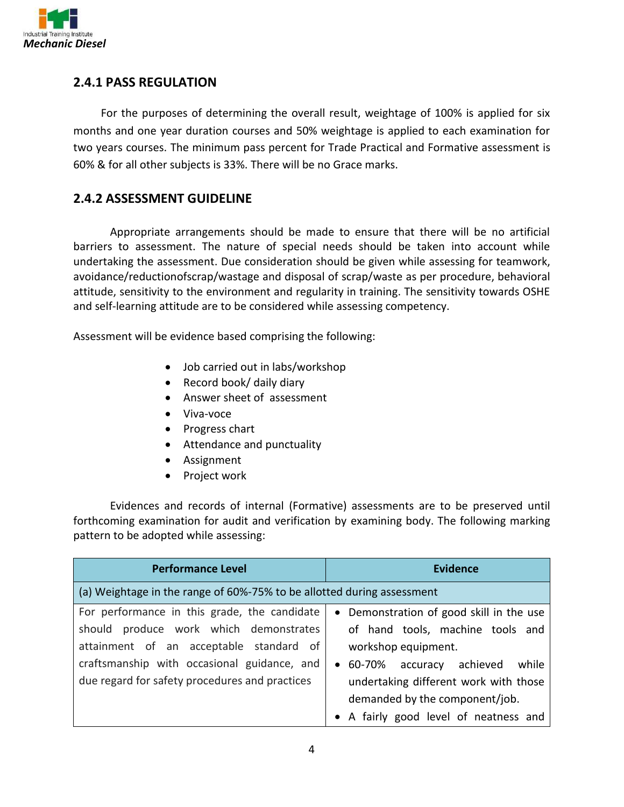

#### **2.4.1 PASS REGULATION**

For the purposes of determining the overall result, weightage of 100% is applied for six months and one year duration courses and 50% weightage is applied to each examination for two years courses. The minimum pass percent for Trade Practical and Formative assessment is 60% & for all other subjects is 33%. There will be no Grace marks.

#### **2.4.2 ASSESSMENT GUIDELINE**

Appropriate arrangements should be made to ensure that there will be no artificial barriers to assessment. The nature of special needs should be taken into account while undertaking the assessment. Due consideration should be given while assessing for teamwork, avoidance/reductionofscrap/wastage and disposal of scrap/waste as per procedure, behavioral attitude, sensitivity to the environment and regularity in training. The sensitivity towards OSHE and self-learning attitude are to be considered while assessing competency.

Assessment will be evidence based comprising the following:

- Job carried out in labs/workshop
- Record book/ daily diary
- Answer sheet of assessment
- Viva-voce
- Progress chart
- Attendance and punctuality
- Assignment
- Project work

Evidences and records of internal (Formative) assessments are to be preserved until forthcoming examination for audit and verification by examining body. The following marking pattern to be adopted while assessing:

| <b>Performance Level</b>                                               | <b>Evidence</b>                          |
|------------------------------------------------------------------------|------------------------------------------|
| (a) Weightage in the range of 60%-75% to be allotted during assessment |                                          |
| For performance in this grade, the candidate                           | • Demonstration of good skill in the use |
| should produce work which demonstrates                                 | of hand tools, machine tools and         |
| attainment of an acceptable standard of                                | workshop equipment.                      |
| craftsmanship with occasional guidance, and                            | • 60-70% accuracy achieved<br>while      |
| due regard for safety procedures and practices                         | undertaking different work with those    |
|                                                                        | demanded by the component/job.           |
|                                                                        | • A fairly good level of neatness and    |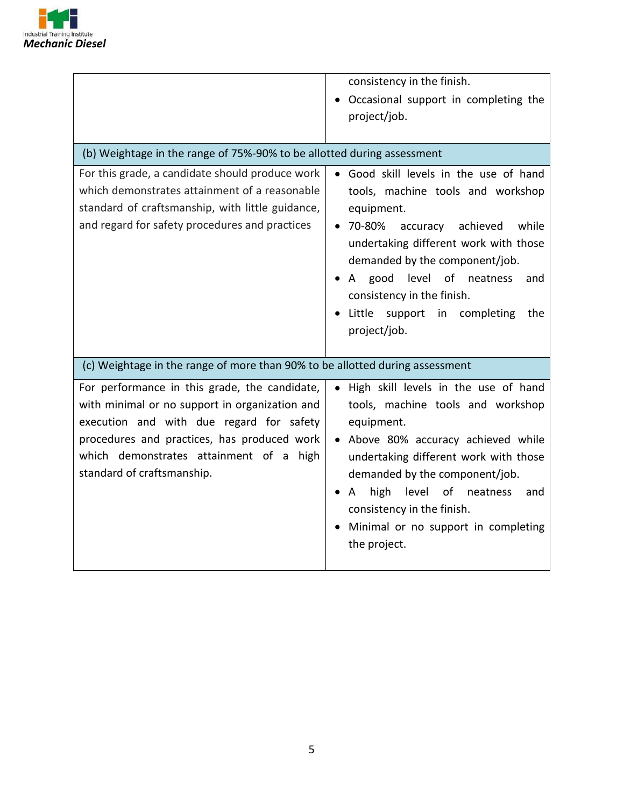

|                                                                                                                                                                                                                                                                     | consistency in the finish.<br>Occasional support in completing the<br>project/job.                                                                                                                                                                                                                                                                    |  |
|---------------------------------------------------------------------------------------------------------------------------------------------------------------------------------------------------------------------------------------------------------------------|-------------------------------------------------------------------------------------------------------------------------------------------------------------------------------------------------------------------------------------------------------------------------------------------------------------------------------------------------------|--|
| (b) Weightage in the range of 75%-90% to be allotted during assessment                                                                                                                                                                                              |                                                                                                                                                                                                                                                                                                                                                       |  |
| For this grade, a candidate should produce work<br>which demonstrates attainment of a reasonable<br>standard of craftsmanship, with little guidance,<br>and regard for safety procedures and practices                                                              | • Good skill levels in the use of hand<br>tools, machine tools and workshop<br>equipment.<br>70-80%<br>accuracy<br>achieved<br>while<br>undertaking different work with those<br>demanded by the component/job.<br>good level of neatness<br>A<br>and<br>consistency in the finish.<br>Little support in completing<br>the<br>project/job.            |  |
| (c) Weightage in the range of more than 90% to be allotted during assessment                                                                                                                                                                                        |                                                                                                                                                                                                                                                                                                                                                       |  |
| For performance in this grade, the candidate,<br>with minimal or no support in organization and<br>execution and with due regard for safety<br>procedures and practices, has produced work<br>which demonstrates attainment of a high<br>standard of craftsmanship. | High skill levels in the use of hand<br>$\bullet$<br>tools, machine tools and workshop<br>equipment.<br>Above 80% accuracy achieved while<br>undertaking different work with those<br>demanded by the component/job.<br>high<br>level<br>of neatness<br>A<br>and<br>consistency in the finish.<br>Minimal or no support in completing<br>the project. |  |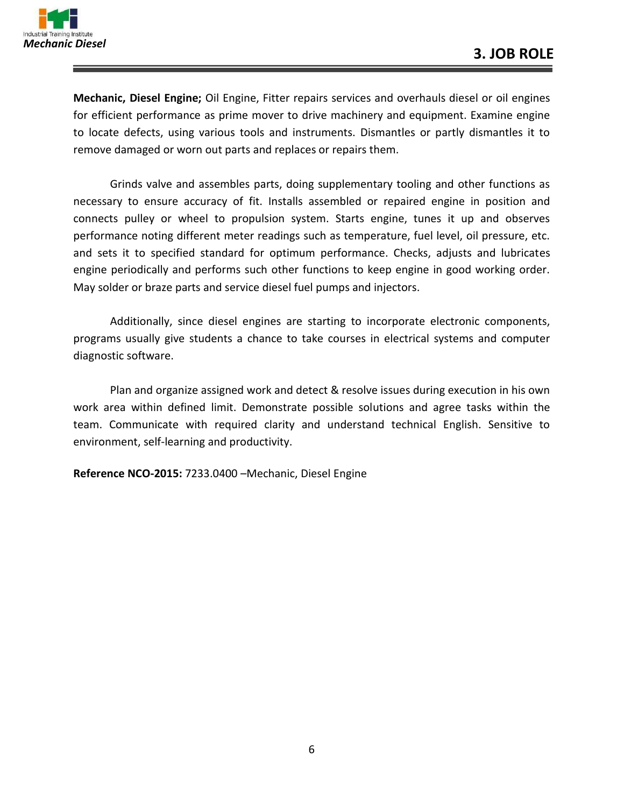

**Mechanic, Diesel Engine;** Oil Engine, Fitter repairs services and overhauls diesel or oil engines for efficient performance as prime mover to drive machinery and equipment. Examine engine to locate defects, using various tools and instruments. Dismantles or partly dismantles it to remove damaged or worn out parts and replaces or repairs them.

Grinds valve and assembles parts, doing supplementary tooling and other functions as necessary to ensure accuracy of fit. Installs assembled or repaired engine in position and connects pulley or wheel to propulsion system. Starts engine, tunes it up and observes performance noting different meter readings such as temperature, fuel level, oil pressure, etc. and sets it to specified standard for optimum performance. Checks, adjusts and lubricates engine periodically and performs such other functions to keep engine in good working order. May solder or braze parts and service diesel fuel pumps and injectors.

Additionally, since diesel engines are starting to incorporate electronic components, programs usually give students a chance to take courses in electrical systems and computer diagnostic software.

Plan and organize assigned work and detect & resolve issues during execution in his own work area within defined limit. Demonstrate possible solutions and agree tasks within the team. Communicate with required clarity and understand technical English. Sensitive to environment, self-learning and productivity.

**Reference NCO-2015:** 7233.0400 –Mechanic, Diesel Engine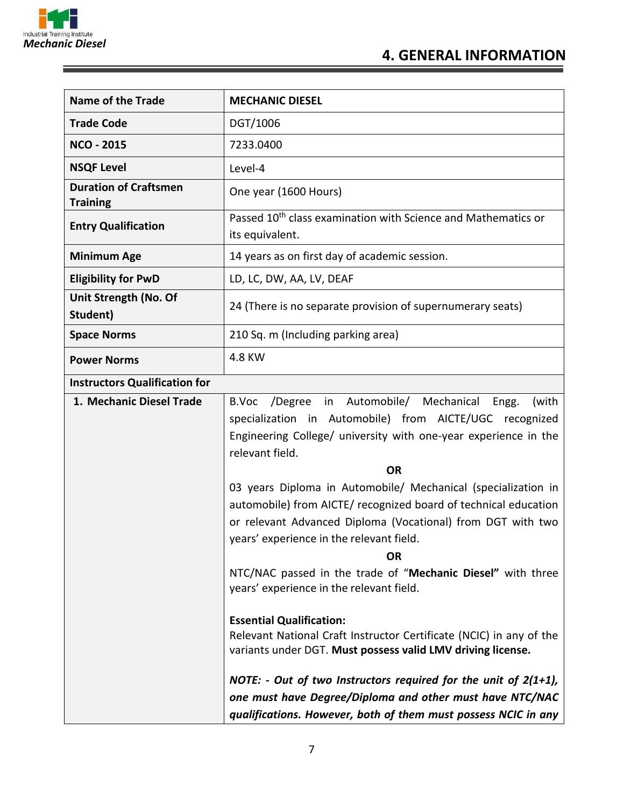

E

| <b>Name of the Trade</b>                        | <b>MECHANIC DIESEL</b>                                                                                                                                                                                                                                                                                                  |  |
|-------------------------------------------------|-------------------------------------------------------------------------------------------------------------------------------------------------------------------------------------------------------------------------------------------------------------------------------------------------------------------------|--|
| <b>Trade Code</b>                               | DGT/1006                                                                                                                                                                                                                                                                                                                |  |
| <b>NCO - 2015</b>                               | 7233.0400                                                                                                                                                                                                                                                                                                               |  |
| <b>NSQF Level</b>                               | Level-4                                                                                                                                                                                                                                                                                                                 |  |
| <b>Duration of Craftsmen</b><br><b>Training</b> | One year (1600 Hours)                                                                                                                                                                                                                                                                                                   |  |
| <b>Entry Qualification</b>                      | Passed 10 <sup>th</sup> class examination with Science and Mathematics or<br>its equivalent.                                                                                                                                                                                                                            |  |
| <b>Minimum Age</b>                              | 14 years as on first day of academic session.                                                                                                                                                                                                                                                                           |  |
| <b>Eligibility for PwD</b>                      | LD, LC, DW, AA, LV, DEAF                                                                                                                                                                                                                                                                                                |  |
| Unit Strength (No. Of<br>Student)               | 24 (There is no separate provision of supernumerary seats)                                                                                                                                                                                                                                                              |  |
| <b>Space Norms</b>                              | 210 Sq. m (Including parking area)                                                                                                                                                                                                                                                                                      |  |
| <b>Power Norms</b>                              | 4.8 KW                                                                                                                                                                                                                                                                                                                  |  |
| <b>Instructors Qualification for</b>            |                                                                                                                                                                                                                                                                                                                         |  |
| 1. Mechanic Diesel Trade                        | /Degree in Automobile/ Mechanical<br>B.Voc<br>(with<br>Engg.<br>specialization in Automobile) from AICTE/UGC recognized<br>Engineering College/ university with one-year experience in the<br>relevant field.                                                                                                           |  |
|                                                 | <b>OR</b>                                                                                                                                                                                                                                                                                                               |  |
|                                                 | 03 years Diploma in Automobile/ Mechanical (specialization in<br>automobile) from AICTE/ recognized board of technical education<br>or relevant Advanced Diploma (Vocational) from DGT with two<br>years' experience in the relevant field.<br><b>OR</b><br>NTC/NAC passed in the trade of "Mechanic Diesel" with three |  |
|                                                 | years' experience in the relevant field.                                                                                                                                                                                                                                                                                |  |
|                                                 | <b>Essential Qualification:</b><br>Relevant National Craft Instructor Certificate (NCIC) in any of the<br>variants under DGT. Must possess valid LMV driving license.                                                                                                                                                   |  |
|                                                 | NOTE: - Out of two Instructors required for the unit of $2(1+1)$ ,<br>one must have Degree/Diploma and other must have NTC/NAC<br>qualifications. However, both of them must possess NCIC in any                                                                                                                        |  |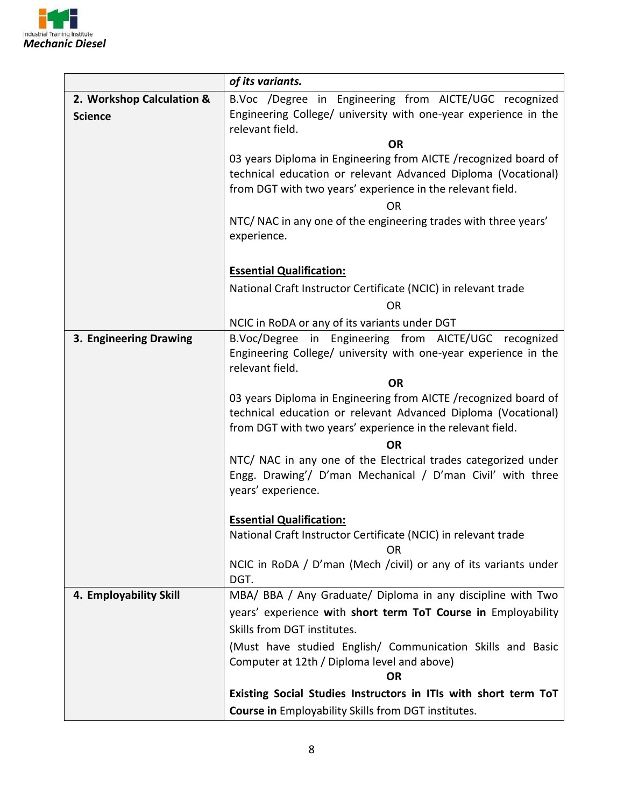

|                           | of its variants.                                                                                                                                                                               |  |  |
|---------------------------|------------------------------------------------------------------------------------------------------------------------------------------------------------------------------------------------|--|--|
| 2. Workshop Calculation & | B.Voc /Degree in Engineering from AICTE/UGC recognized                                                                                                                                         |  |  |
| <b>Science</b>            | Engineering College/ university with one-year experience in the<br>relevant field.                                                                                                             |  |  |
|                           | <b>OR</b>                                                                                                                                                                                      |  |  |
|                           | 03 years Diploma in Engineering from AICTE /recognized board of<br>technical education or relevant Advanced Diploma (Vocational)<br>from DGT with two years' experience in the relevant field. |  |  |
|                           | <b>OR</b>                                                                                                                                                                                      |  |  |
|                           | NTC/ NAC in any one of the engineering trades with three years'                                                                                                                                |  |  |
|                           | experience.                                                                                                                                                                                    |  |  |
|                           |                                                                                                                                                                                                |  |  |
|                           | <b>Essential Qualification:</b>                                                                                                                                                                |  |  |
|                           | National Craft Instructor Certificate (NCIC) in relevant trade                                                                                                                                 |  |  |
|                           | <b>OR</b>                                                                                                                                                                                      |  |  |
|                           | NCIC in RoDA or any of its variants under DGT                                                                                                                                                  |  |  |
| 3. Engineering Drawing    | B.Voc/Degree in Engineering from AICTE/UGC recognized                                                                                                                                          |  |  |
|                           | Engineering College/ university with one-year experience in the<br>relevant field.                                                                                                             |  |  |
|                           | <b>OR</b>                                                                                                                                                                                      |  |  |
|                           | 03 years Diploma in Engineering from AICTE /recognized board of<br>technical education or relevant Advanced Diploma (Vocational)<br>from DGT with two years' experience in the relevant field. |  |  |
|                           | ΟR                                                                                                                                                                                             |  |  |
|                           | NTC/ NAC in any one of the Electrical trades categorized under<br>Engg. Drawing'/ D'man Mechanical / D'man Civil' with three<br>years' experience.                                             |  |  |
|                           |                                                                                                                                                                                                |  |  |
|                           | <b>Essential Qualification:</b><br>National Craft Instructor Certificate (NCIC) in relevant trade                                                                                              |  |  |
|                           | ΩR                                                                                                                                                                                             |  |  |
|                           | NCIC in RoDA / D'man (Mech /civil) or any of its variants under<br>DGT.                                                                                                                        |  |  |
| 4. Employability Skill    | MBA/ BBA / Any Graduate/ Diploma in any discipline with Two                                                                                                                                    |  |  |
|                           | years' experience with short term ToT Course in Employability                                                                                                                                  |  |  |
|                           | Skills from DGT institutes.                                                                                                                                                                    |  |  |
|                           | (Must have studied English/ Communication Skills and Basic                                                                                                                                     |  |  |
|                           | Computer at 12th / Diploma level and above)                                                                                                                                                    |  |  |
|                           | <b>OR</b>                                                                                                                                                                                      |  |  |
|                           | Existing Social Studies Instructors in ITIs with short term ToT                                                                                                                                |  |  |
|                           | Course in Employability Skills from DGT institutes.                                                                                                                                            |  |  |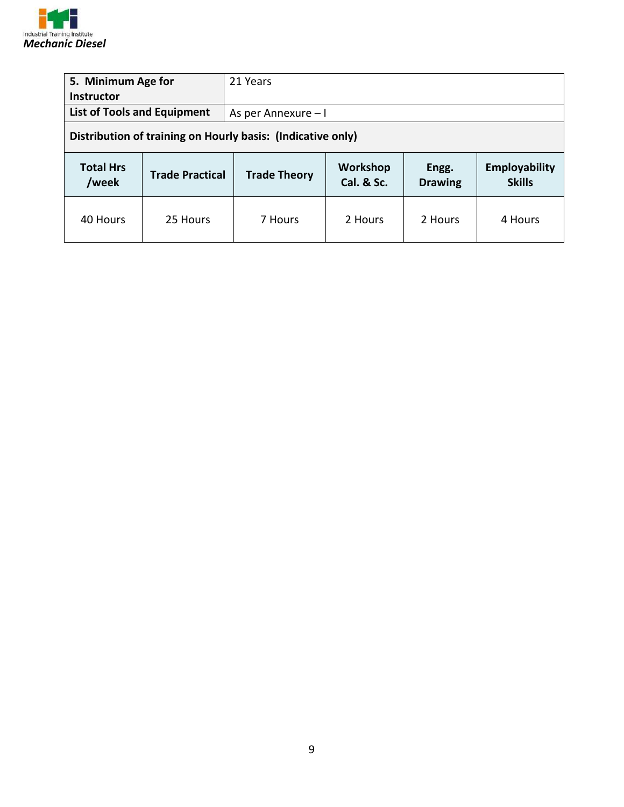

| 5. Minimum Age for<br><b>Instructor</b>                                                                                         |                                                             | 21 Years            |  |  |                                |
|---------------------------------------------------------------------------------------------------------------------------------|-------------------------------------------------------------|---------------------|--|--|--------------------------------|
| <b>List of Tools and Equipment</b>                                                                                              |                                                             | As per Annexure - I |  |  |                                |
|                                                                                                                                 | Distribution of training on Hourly basis: (Indicative only) |                     |  |  |                                |
| <b>Total Hrs</b><br>Workshop<br>Engg.<br><b>Trade Practical</b><br><b>Trade Theory</b><br>Cal. & Sc.<br>/week<br><b>Drawing</b> |                                                             |                     |  |  |                                |
|                                                                                                                                 |                                                             |                     |  |  | Employability<br><b>Skills</b> |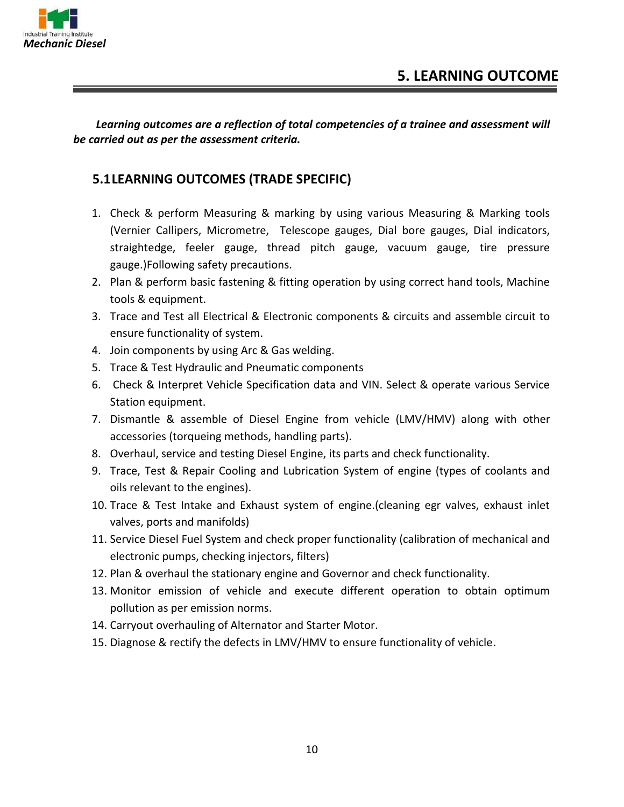

*Learning outcomes are a reflection of total competencies of a trainee and assessment will be carried out as per the assessment criteria.*

#### **5.1LEARNING OUTCOMES (TRADE SPECIFIC)**

- 1. Check & perform Measuring & marking by using various Measuring & Marking tools (Vernier Callipers, Micrometre, Telescope gauges, Dial bore gauges, Dial indicators, straightedge, feeler gauge, thread pitch gauge, vacuum gauge, tire pressure gauge.)Following safety precautions.
- 2. Plan & perform basic fastening & fitting operation by using correct hand tools, Machine tools & equipment.
- 3. Trace and Test all Electrical & Electronic components & circuits and assemble circuit to ensure functionality of system.
- 4. Join components by using Arc & Gas welding.
- 5. Trace & Test Hydraulic and Pneumatic components
- 6. Check & Interpret Vehicle Specification data and VIN. Select & operate various Service Station equipment.
- 7. Dismantle & assemble of Diesel Engine from vehicle (LMV/HMV) along with other accessories (torqueing methods, handling parts).
- 8. Overhaul, service and testing Diesel Engine, its parts and check functionality.
- 9. Trace, Test & Repair Cooling and Lubrication System of engine (types of coolants and oils relevant to the engines).
- 10. Trace & Test Intake and Exhaust system of engine.(cleaning egr valves, exhaust inlet valves, ports and manifolds)
- 11. Service Diesel Fuel System and check proper functionality (calibration of mechanical and electronic pumps, checking injectors, filters)
- 12. Plan & overhaul the stationary engine and Governor and check functionality.
- 13. Monitor emission of vehicle and execute different operation to obtain optimum pollution as per emission norms.
- 14. Carryout overhauling of Alternator and Starter Motor.
- 15. Diagnose & rectify the defects in LMV/HMV to ensure functionality of vehicle.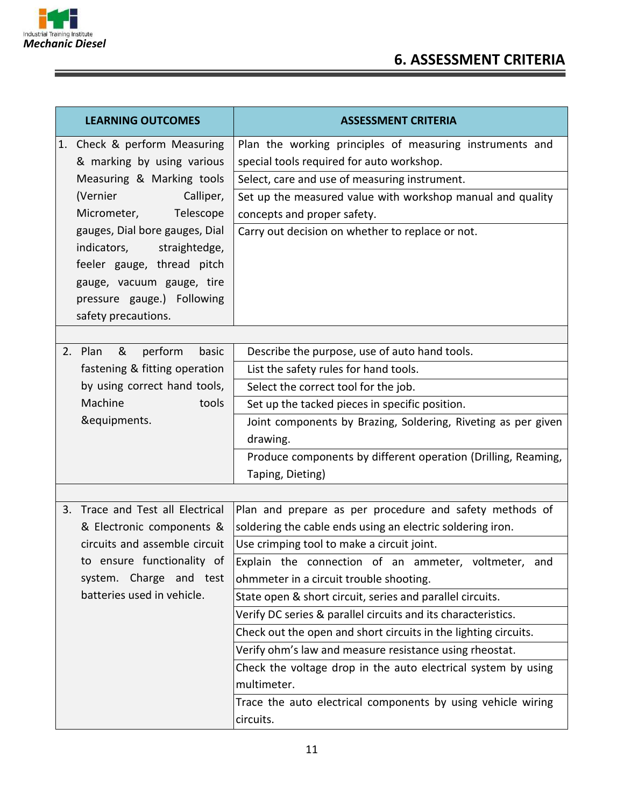

| <b>LEARNING OUTCOMES</b>                                   | <b>ASSESSMENT CRITERIA</b>                                                                            |  |
|------------------------------------------------------------|-------------------------------------------------------------------------------------------------------|--|
| 1. Check & perform Measuring<br>& marking by using various | Plan the working principles of measuring instruments and<br>special tools required for auto workshop. |  |
| Measuring & Marking tools                                  | Select, care and use of measuring instrument.                                                         |  |
| (Vernier<br>Calliper,                                      | Set up the measured value with workshop manual and quality                                            |  |
| Micrometer,<br>Telescope                                   | concepts and proper safety.                                                                           |  |
| gauges, Dial bore gauges, Dial                             | Carry out decision on whether to replace or not.                                                      |  |
| indicators,<br>straightedge,                               |                                                                                                       |  |
| feeler gauge, thread pitch                                 |                                                                                                       |  |
| gauge, vacuum gauge, tire                                  |                                                                                                       |  |
| pressure gauge.) Following                                 |                                                                                                       |  |
| safety precautions.                                        |                                                                                                       |  |
| &<br>perform<br>2. Plan<br>basic                           | Describe the purpose, use of auto hand tools.                                                         |  |
| fastening & fitting operation                              | List the safety rules for hand tools.                                                                 |  |
| by using correct hand tools,                               | Select the correct tool for the job.                                                                  |  |
| Machine<br>tools                                           | Set up the tacked pieces in specific position.                                                        |  |
| &equipments.                                               | Joint components by Brazing, Soldering, Riveting as per given                                         |  |
|                                                            | drawing.                                                                                              |  |
|                                                            | Produce components by different operation (Drilling, Reaming,                                         |  |
|                                                            | Taping, Dieting)                                                                                      |  |
|                                                            |                                                                                                       |  |
| 3. Trace and Test all Electrical                           | Plan and prepare as per procedure and safety methods of                                               |  |
| & Electronic components &                                  | soldering the cable ends using an electric soldering iron.                                            |  |
| circuits and assemble circuit                              | Use crimping tool to make a circuit joint.                                                            |  |
| to ensure functionality of                                 | Explain the connection of an ammeter, voltmeter, and                                                  |  |
| system. Charge and test                                    | ohmmeter in a circuit trouble shooting.                                                               |  |
| batteries used in vehicle.                                 | State open & short circuit, series and parallel circuits.                                             |  |
|                                                            | Verify DC series & parallel circuits and its characteristics.                                         |  |
|                                                            | Check out the open and short circuits in the lighting circuits.                                       |  |
|                                                            | Verify ohm's law and measure resistance using rheostat.                                               |  |
|                                                            | Check the voltage drop in the auto electrical system by using                                         |  |
|                                                            | multimeter.                                                                                           |  |
|                                                            | Trace the auto electrical components by using vehicle wiring                                          |  |
|                                                            | circuits.                                                                                             |  |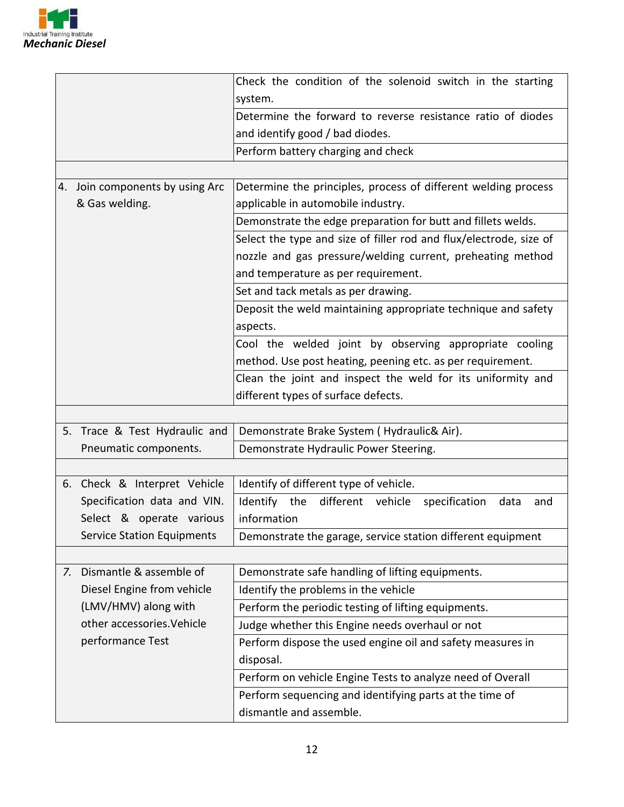

|                                   | Check the condition of the solenoid switch in the starting           |  |  |
|-----------------------------------|----------------------------------------------------------------------|--|--|
|                                   | system.                                                              |  |  |
|                                   | Determine the forward to reverse resistance ratio of diodes          |  |  |
|                                   | and identify good / bad diodes.                                      |  |  |
|                                   | Perform battery charging and check                                   |  |  |
|                                   |                                                                      |  |  |
| 4. Join components by using Arc   | Determine the principles, process of different welding process       |  |  |
| & Gas welding.                    | applicable in automobile industry.                                   |  |  |
|                                   | Demonstrate the edge preparation for butt and fillets welds.         |  |  |
|                                   | Select the type and size of filler rod and flux/electrode, size of   |  |  |
|                                   | nozzle and gas pressure/welding current, preheating method           |  |  |
|                                   | and temperature as per requirement.                                  |  |  |
|                                   | Set and tack metals as per drawing.                                  |  |  |
|                                   | Deposit the weld maintaining appropriate technique and safety        |  |  |
|                                   | aspects.                                                             |  |  |
|                                   | Cool the welded joint by observing appropriate cooling               |  |  |
|                                   | method. Use post heating, peening etc. as per requirement.           |  |  |
|                                   | Clean the joint and inspect the weld for its uniformity and          |  |  |
|                                   | different types of surface defects.                                  |  |  |
|                                   |                                                                      |  |  |
| 5. Trace & Test Hydraulic and     | Demonstrate Brake System (Hydraulic& Air).                           |  |  |
| Pneumatic components.             | Demonstrate Hydraulic Power Steering.                                |  |  |
|                                   |                                                                      |  |  |
| 6. Check & Interpret Vehicle      | Identify of different type of vehicle.                               |  |  |
| Specification data and VIN.       | Identify the<br>different<br>vehicle<br>specification<br>data<br>and |  |  |
| Select & operate various          | information                                                          |  |  |
| <b>Service Station Equipments</b> | Demonstrate the garage, service station different equipment          |  |  |
|                                   |                                                                      |  |  |
| Dismantle & assemble of<br>7.     | Demonstrate safe handling of lifting equipments.                     |  |  |
| Diesel Engine from vehicle        | Identify the problems in the vehicle                                 |  |  |
| (LMV/HMV) along with              | Perform the periodic testing of lifting equipments.                  |  |  |
| other accessories. Vehicle        | Judge whether this Engine needs overhaul or not                      |  |  |
| performance Test                  | Perform dispose the used engine oil and safety measures in           |  |  |
|                                   | disposal.                                                            |  |  |
|                                   | Perform on vehicle Engine Tests to analyze need of Overall           |  |  |
|                                   | Perform sequencing and identifying parts at the time of              |  |  |
|                                   | dismantle and assemble.                                              |  |  |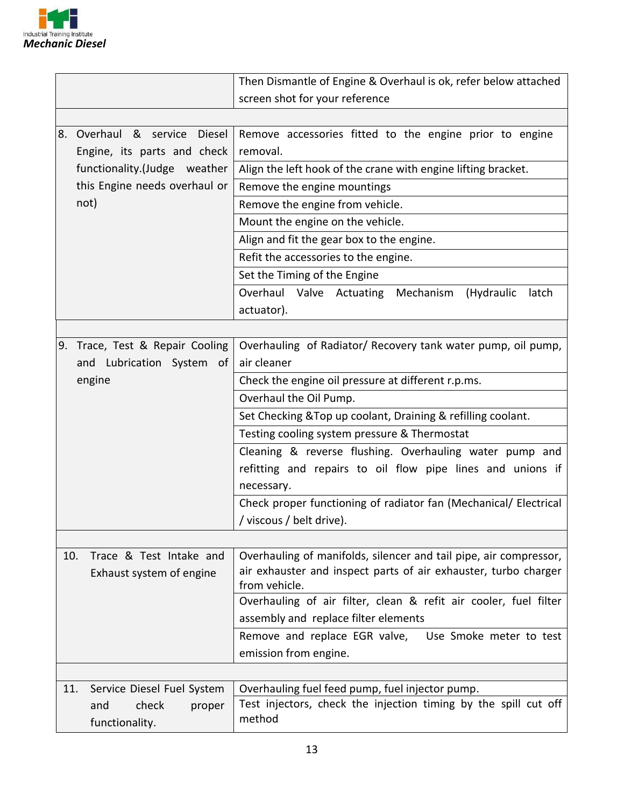

|                             |                                 | Then Dismantle of Engine & Overhaul is ok, refer below attached                  |  |  |
|-----------------------------|---------------------------------|----------------------------------------------------------------------------------|--|--|
|                             |                                 | screen shot for your reference                                                   |  |  |
|                             |                                 |                                                                                  |  |  |
| 8.                          | Overhaul & service Diesel       | Remove accessories fitted to the engine prior to engine                          |  |  |
| Engine, its parts and check |                                 | removal.                                                                         |  |  |
|                             | functionality.(Judge weather    | Align the left hook of the crane with engine lifting bracket.                    |  |  |
|                             | this Engine needs overhaul or   | Remove the engine mountings                                                      |  |  |
|                             | not)                            | Remove the engine from vehicle.                                                  |  |  |
|                             |                                 | Mount the engine on the vehicle.                                                 |  |  |
|                             |                                 | Align and fit the gear box to the engine.                                        |  |  |
|                             |                                 | Refit the accessories to the engine.                                             |  |  |
|                             |                                 | Set the Timing of the Engine                                                     |  |  |
|                             |                                 | Overhaul Valve Actuating Mechanism<br>(Hydraulic<br>latch                        |  |  |
|                             |                                 | actuator).                                                                       |  |  |
|                             |                                 |                                                                                  |  |  |
|                             | 9. Trace, Test & Repair Cooling | Overhauling of Radiator/ Recovery tank water pump, oil pump,                     |  |  |
|                             | and Lubrication System of       | air cleaner                                                                      |  |  |
|                             | engine                          | Check the engine oil pressure at different r.p.ms.                               |  |  |
|                             |                                 | Overhaul the Oil Pump.                                                           |  |  |
|                             |                                 | Set Checking & Top up coolant, Draining & refilling coolant.                     |  |  |
|                             |                                 | Testing cooling system pressure & Thermostat                                     |  |  |
|                             |                                 | Cleaning & reverse flushing. Overhauling water pump and                          |  |  |
|                             |                                 | refitting and repairs to oil flow pipe lines and unions if                       |  |  |
|                             |                                 | necessary.                                                                       |  |  |
|                             |                                 | Check proper functioning of radiator fan (Mechanical/ Electrical                 |  |  |
|                             |                                 | / viscous / belt drive).                                                         |  |  |
|                             |                                 |                                                                                  |  |  |
| 10.                         | Trace & Test Intake and         | Overhauling of manifolds, silencer and tail pipe, air compressor,                |  |  |
|                             | Exhaust system of engine        | air exhauster and inspect parts of air exhauster, turbo charger<br>from vehicle. |  |  |
|                             |                                 | Overhauling of air filter, clean & refit air cooler, fuel filter                 |  |  |
|                             |                                 | assembly and replace filter elements                                             |  |  |
|                             |                                 | Remove and replace EGR valve,<br>Use Smoke meter to test                         |  |  |
|                             |                                 | emission from engine.                                                            |  |  |
|                             |                                 |                                                                                  |  |  |
| 11.                         | Service Diesel Fuel System      | Overhauling fuel feed pump, fuel injector pump.                                  |  |  |
|                             | check<br>and<br>proper          | Test injectors, check the injection timing by the spill cut off                  |  |  |
|                             | method<br>functionality.        |                                                                                  |  |  |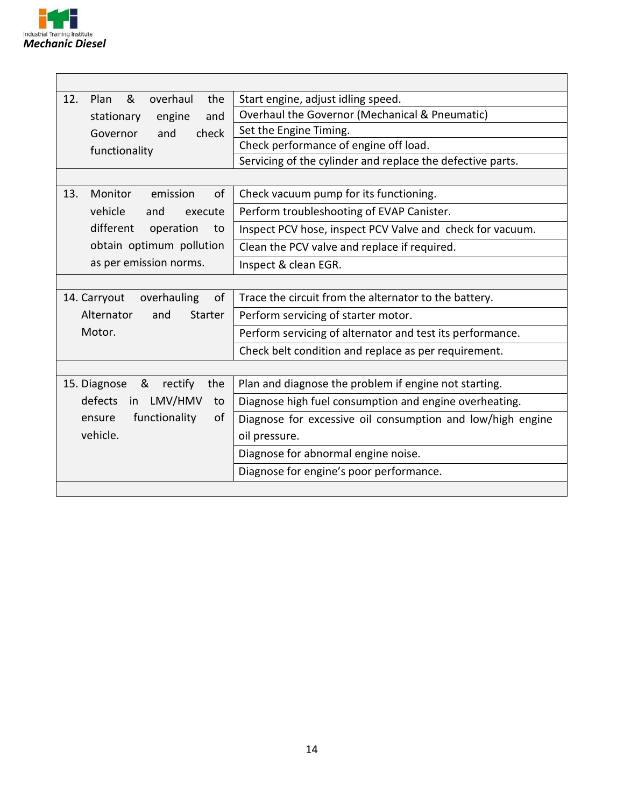

| &<br>12.<br>Plan<br>overhaul<br>the                | Start engine, adjust idling speed.                         |  |
|----------------------------------------------------|------------------------------------------------------------|--|
| and<br>stationary<br>engine                        | Overhaul the Governor (Mechanical & Pneumatic)             |  |
| check<br>Governor<br>and                           | Set the Engine Timing.                                     |  |
| functionality                                      | Check performance of engine off load.                      |  |
|                                                    | Servicing of the cylinder and replace the defective parts. |  |
|                                                    |                                                            |  |
| 13.<br><b>Monitor</b><br>emission<br><sub>of</sub> | Check vacuum pump for its functioning.                     |  |
| vehicle<br>and<br>execute                          | Perform troubleshooting of EVAP Canister.                  |  |
| different<br>operation<br>to                       | Inspect PCV hose, inspect PCV Valve and check for vacuum.  |  |
| obtain optimum pollution                           | Clean the PCV valve and replace if required.               |  |
| as per emission norms.                             | Inspect & clean EGR.                                       |  |
|                                                    |                                                            |  |
| 14. Carryout<br>overhauling<br>of                  | Trace the circuit from the alternator to the battery.      |  |
| Alternator<br>and<br><b>Starter</b>                | Perform servicing of starter motor.                        |  |
| Motor.                                             | Perform servicing of alternator and test its performance.  |  |
|                                                    | Check belt condition and replace as per requirement.       |  |
|                                                    |                                                            |  |
| 15. Diagnose<br>&<br>rectify<br>the                | Plan and diagnose the problem if engine not starting.      |  |
| defects<br>LMV/HMV<br>in<br>to                     | Diagnose high fuel consumption and engine overheating.     |  |
| functionality<br>οf<br>ensure                      | Diagnose for excessive oil consumption and low/high engine |  |
| vehicle.                                           | oil pressure.                                              |  |
|                                                    | Diagnose for abnormal engine noise.                        |  |
|                                                    | Diagnose for engine's poor performance.                    |  |
|                                                    |                                                            |  |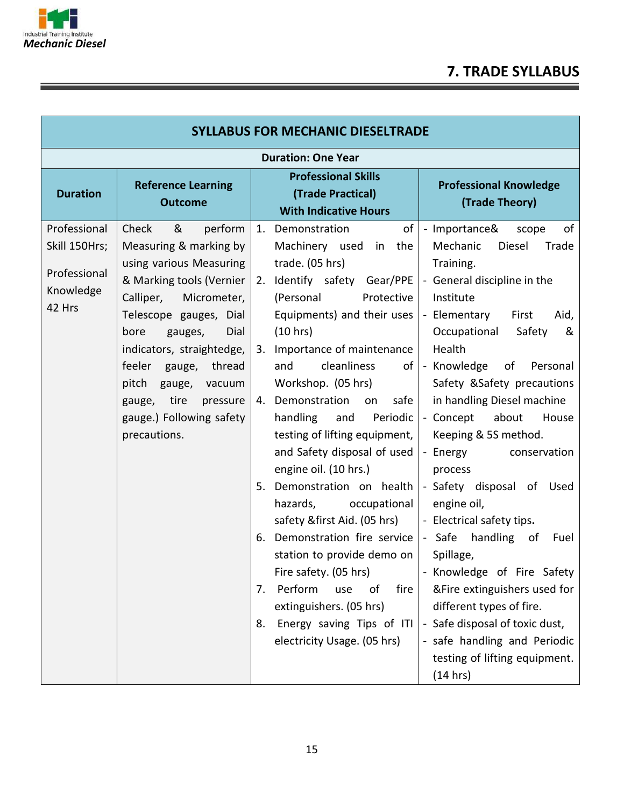

## **7. TRADE SYLLABUS**

| <b>SYLLABUS FOR MECHANIC DIESELTRADE</b>                             |                                                                                                                                                                                                                                                                                                                                                  |                                                                                                                                                                                                                                                                                                                                                                                                                                                                                                                                                                                                                                                                                                                                                         |                                                                                                                                                                                                                                                                                                                                                                                                                                                                                                                                                                                                                                                                                                          |  |
|----------------------------------------------------------------------|--------------------------------------------------------------------------------------------------------------------------------------------------------------------------------------------------------------------------------------------------------------------------------------------------------------------------------------------------|---------------------------------------------------------------------------------------------------------------------------------------------------------------------------------------------------------------------------------------------------------------------------------------------------------------------------------------------------------------------------------------------------------------------------------------------------------------------------------------------------------------------------------------------------------------------------------------------------------------------------------------------------------------------------------------------------------------------------------------------------------|----------------------------------------------------------------------------------------------------------------------------------------------------------------------------------------------------------------------------------------------------------------------------------------------------------------------------------------------------------------------------------------------------------------------------------------------------------------------------------------------------------------------------------------------------------------------------------------------------------------------------------------------------------------------------------------------------------|--|
| <b>Duration: One Year</b>                                            |                                                                                                                                                                                                                                                                                                                                                  |                                                                                                                                                                                                                                                                                                                                                                                                                                                                                                                                                                                                                                                                                                                                                         |                                                                                                                                                                                                                                                                                                                                                                                                                                                                                                                                                                                                                                                                                                          |  |
| <b>Duration</b>                                                      | <b>Reference Learning</b><br><b>Outcome</b>                                                                                                                                                                                                                                                                                                      | <b>Professional Skills</b><br>(Trade Practical)<br><b>With Indicative Hours</b>                                                                                                                                                                                                                                                                                                                                                                                                                                                                                                                                                                                                                                                                         | <b>Professional Knowledge</b><br>(Trade Theory)                                                                                                                                                                                                                                                                                                                                                                                                                                                                                                                                                                                                                                                          |  |
| Professional<br>Skill 150Hrs;<br>Professional<br>Knowledge<br>42 Hrs | Check<br>&<br>perform<br>Measuring & marking by<br>using various Measuring<br>& Marking tools (Vernier<br>Calliper,<br>Micrometer,<br>Telescope gauges, Dial<br>Dial<br>bore<br>gauges,<br>indicators, straightedge,<br>feeler gauge, thread<br>pitch<br>gauge, vacuum<br>tire<br>pressure<br>gauge,<br>gauge.) Following safety<br>precautions. | of<br>1. Demonstration<br>Machinery used in the<br>trade. (05 hrs)<br>2. Identify safety Gear/PPE   - General discipline in the<br>(Personal<br>Protective<br>Equipments) and their uses<br>(10 hrs)<br>Importance of maintenance<br>3.<br>cleanliness<br>and<br>Workshop. (05 hrs)<br>4. Demonstration<br>safe<br>on<br>handling<br>Periodic<br>and<br>testing of lifting equipment,<br>and Safety disposal of used<br>engine oil. (10 hrs.)<br>Demonstration on health<br>5.<br>occupational<br>hazards,<br>safety &first Aid. (05 hrs)<br>Demonstration fire service   - Safe<br>6.<br>station to provide demo on<br>Perform<br>fire<br>of<br>use<br>7.<br>extinguishers. (05 hrs)<br>Energy saving Tips of ITI<br>8.<br>electricity Usage. (05 hrs) | - Importance&<br>of<br>scope<br>Mechanic<br>Diesel<br>Trade<br>Training.<br>Institute<br>- Elementary<br>First<br>Aid,<br>Occupational<br>Safety<br>&<br>Health<br>of  - Knowledge of<br>Personal<br>Safety & Safety precautions<br>in handling Diesel machine<br>- Concept<br>House<br>about<br>Keeping & 5S method.<br>- Energy<br>conservation<br>process<br>- Safety disposal of Used<br>engine oil,<br>- Electrical safety tips.<br>handling of<br>Fuel<br>Spillage,<br>Fire safety. (05 hrs)   Knowledge of Fire Safety<br>&Fire extinguishers used for<br>different types of fire.<br>- Safe disposal of toxic dust,<br>- safe handling and Periodic<br>testing of lifting equipment.<br>(14 hrs) |  |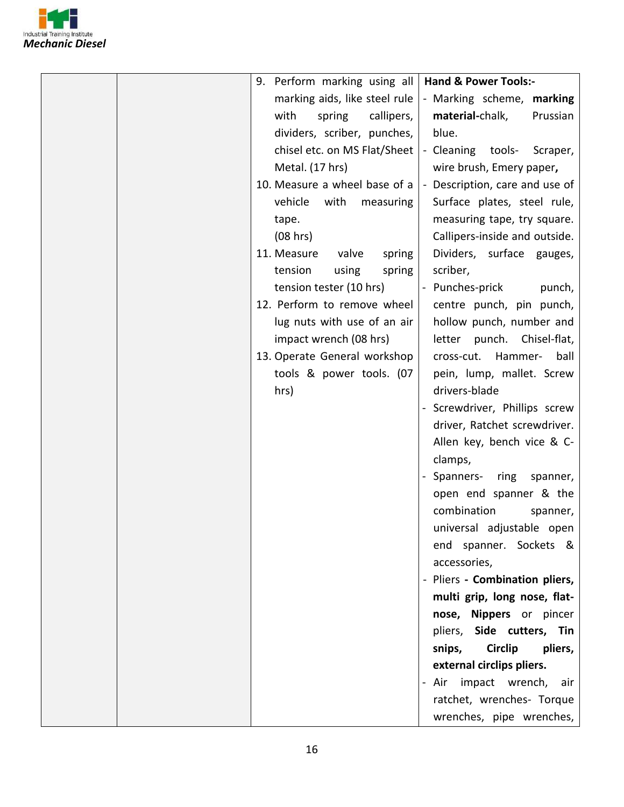

| 9. Perform marking using all   Hand & Power Tools:- |                                          |
|-----------------------------------------------------|------------------------------------------|
| marking aids, like steel rule                       | - Marking scheme, marking                |
| with<br>callipers,<br>spring                        | material-chalk,<br>Prussian              |
| dividers, scriber, punches,                         | blue.                                    |
| chisel etc. on MS Flat/Sheet                        | - Cleaning tools- Scraper,               |
| Metal. (17 hrs)                                     | wire brush, Emery paper,                 |
| 10. Measure a wheel base of a                       | - Description, care and use of           |
| with<br>vehicle<br>measuring                        | Surface plates, steel rule,              |
| tape.                                               | measuring tape, try square.              |
| (08 hrs)                                            | Callipers-inside and outside.            |
| 11. Measure<br>valve<br>spring                      | Dividers, surface gauges,                |
| tension<br>using<br>spring                          | scriber,                                 |
| tension tester (10 hrs)                             | - Punches-prick<br>punch,                |
| 12. Perform to remove wheel                         | centre punch, pin punch,                 |
| lug nuts with use of an air                         | hollow punch, number and                 |
| impact wrench (08 hrs)                              | letter punch. Chisel-flat,               |
| 13. Operate General workshop                        | Hammer-<br>cross-cut.<br>ball            |
| tools & power tools. (07                            | pein, lump, mallet. Screw                |
| hrs)                                                | drivers-blade                            |
|                                                     | Screwdriver, Phillips screw              |
|                                                     | driver, Ratchet screwdriver.             |
|                                                     | Allen key, bench vice & C-               |
|                                                     | clamps,                                  |
|                                                     | Spanners- ring<br>spanner,               |
|                                                     | open end spanner & the                   |
|                                                     | combination<br>spanner,                  |
|                                                     | universal adjustable open                |
|                                                     | end spanner. Sockets &                   |
|                                                     | accessories,                             |
|                                                     | - Pliers - Combination pliers,           |
|                                                     | multi grip, long nose, flat-             |
|                                                     | nose, Nippers or pincer                  |
|                                                     | pliers, Side cutters, Tin                |
|                                                     | <b>Circlip</b><br>pliers,<br>snips,      |
|                                                     | external circlips pliers.                |
|                                                     | Air impact wrench, air<br>$\blacksquare$ |
|                                                     | ratchet, wrenches- Torque                |
|                                                     | wrenches, pipe wrenches,                 |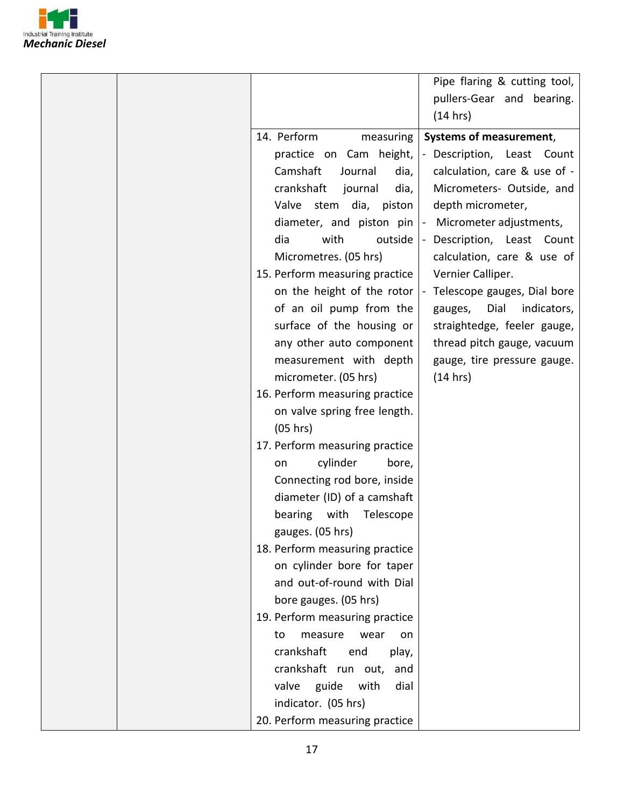

|                                | Pipe flaring & cutting tool,   |
|--------------------------------|--------------------------------|
|                                | pullers-Gear and bearing.      |
|                                | (14 hrs)                       |
|                                |                                |
| 14. Perform<br>measuring       | <b>Systems of measurement,</b> |
| practice on Cam height,        | - Description, Least Count     |
| Camshaft<br>dia,<br>Journal    | calculation, care & use of -   |
| crankshaft<br>dia,<br>journal  | Micrometers- Outside, and      |
| stem<br>dia, piston<br>Valve   | depth micrometer,              |
| diameter, and piston pin       | - Micrometer adjustments,      |
| dia<br>with<br>outside         | - Description, Least Count     |
| Micrometres. (05 hrs)          | calculation, care & use of     |
| 15. Perform measuring practice | Vernier Calliper.              |
| on the height of the rotor     | Telescope gauges, Dial bore    |
| of an oil pump from the        | Dial<br>indicators,<br>gauges, |
| surface of the housing or      | straightedge, feeler gauge,    |
| any other auto component       | thread pitch gauge, vacuum     |
| measurement with depth         | gauge, tire pressure gauge.    |
| micrometer. (05 hrs)           | (14 hrs)                       |
| 16. Perform measuring practice |                                |
| on valve spring free length.   |                                |
| (05 hrs)                       |                                |
| 17. Perform measuring practice |                                |
| cylinder<br>bore,<br>on        |                                |
| Connecting rod bore, inside    |                                |
| diameter (ID) of a camshaft    |                                |
| Telescope<br>bearing with      |                                |
| gauges. (05 hrs)               |                                |
| 18. Perform measuring practice |                                |
| on cylinder bore for taper     |                                |
| and out-of-round with Dial     |                                |
| bore gauges. (05 hrs)          |                                |
| 19. Perform measuring practice |                                |
| measure<br>to<br>wear<br>on    |                                |
| crankshaft<br>end<br>play,     |                                |
| crankshaft run out,<br>and     |                                |
| guide<br>valve<br>with<br>dial |                                |
| indicator. (05 hrs)            |                                |
| 20. Perform measuring practice |                                |
|                                |                                |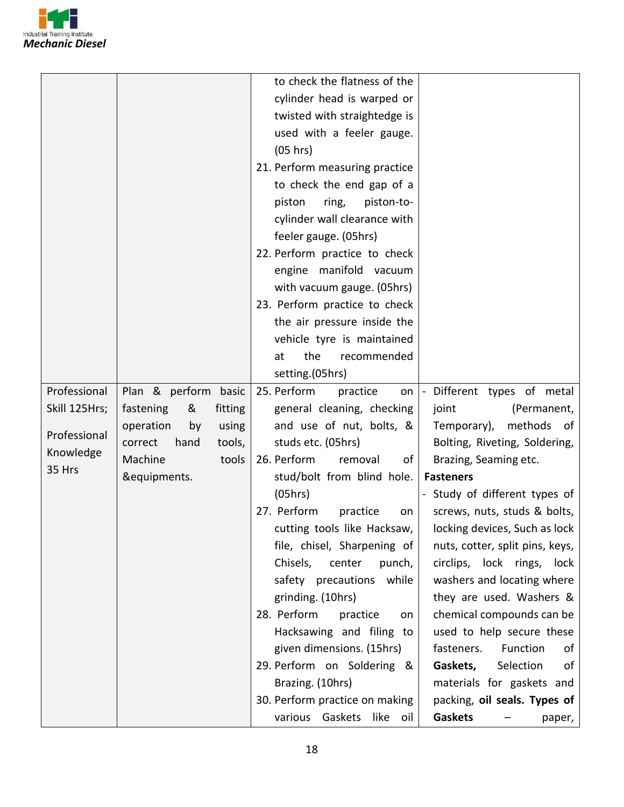

|               |                           | to check the flatness of the          |                                 |
|---------------|---------------------------|---------------------------------------|---------------------------------|
|               |                           | cylinder head is warped or            |                                 |
|               |                           | twisted with straightedge is          |                                 |
|               |                           | used with a feeler gauge.             |                                 |
|               |                           | (05 hrs)                              |                                 |
|               |                           | 21. Perform measuring practice        |                                 |
|               |                           | to check the end gap of a             |                                 |
|               |                           | piston<br>piston-to-                  |                                 |
|               |                           | ring,<br>cylinder wall clearance with |                                 |
|               |                           |                                       |                                 |
|               |                           | feeler gauge. (05hrs)                 |                                 |
|               |                           | 22. Perform practice to check         |                                 |
|               |                           | engine manifold vacuum                |                                 |
|               |                           | with vacuum gauge. (05hrs)            |                                 |
|               |                           | 23. Perform practice to check         |                                 |
|               |                           | the air pressure inside the           |                                 |
|               |                           | vehicle tyre is maintained            |                                 |
|               |                           | the<br>recommended<br>at              |                                 |
|               |                           | setting.(05hrs)                       |                                 |
| Professional  | Plan & perform basic      | 25. Perform<br>practice               | on  - Different types of metal  |
| Skill 125Hrs; | fastening<br>fitting<br>& | general cleaning, checking            | joint<br>(Permanent,            |
| Professional  | operation<br>by<br>using  | and use of nut, bolts, &              | Temporary), methods of          |
| Knowledge     | correct<br>hand<br>tools, | studs etc. (05hrs)                    | Bolting, Riveting, Soldering,   |
| 35 Hrs        | Machine<br>tools          | 26. Perform<br>removal<br>of l        | Brazing, Seaming etc.           |
|               | &equipments.              | stud/bolt from blind hole.            | <b>Fasteners</b>                |
|               |                           | (05hrs)                               | - Study of different types of   |
|               |                           | 27. Perform<br>practice<br>on         | screws, nuts, studs & bolts,    |
|               |                           | cutting tools like Hacksaw,           | locking devices, Such as lock   |
|               |                           | file, chisel, Sharpening of           | nuts, cotter, split pins, keys, |
|               |                           | Chisels,<br>center<br>punch,          | circlips, lock rings, lock      |
|               |                           | safety precautions while              | washers and locating where      |
|               |                           | grinding. (10hrs)                     | they are used. Washers &        |
|               |                           | 28. Perform<br>practice<br>on         | chemical compounds can be       |
|               |                           | Hacksawing and filing to              | used to help secure these       |
|               |                           | given dimensions. (15hrs)             | Function<br>fasteners.<br>οf    |
|               |                           | 29. Perform on Soldering &            | Gaskets,<br>Selection<br>οf     |
|               |                           | Brazing. (10hrs)                      | materials for gaskets and       |
|               |                           | 30. Perform practice on making        | packing, oil seals. Types of    |
|               |                           | various Gaskets like oil              | <b>Gaskets</b><br>paper,        |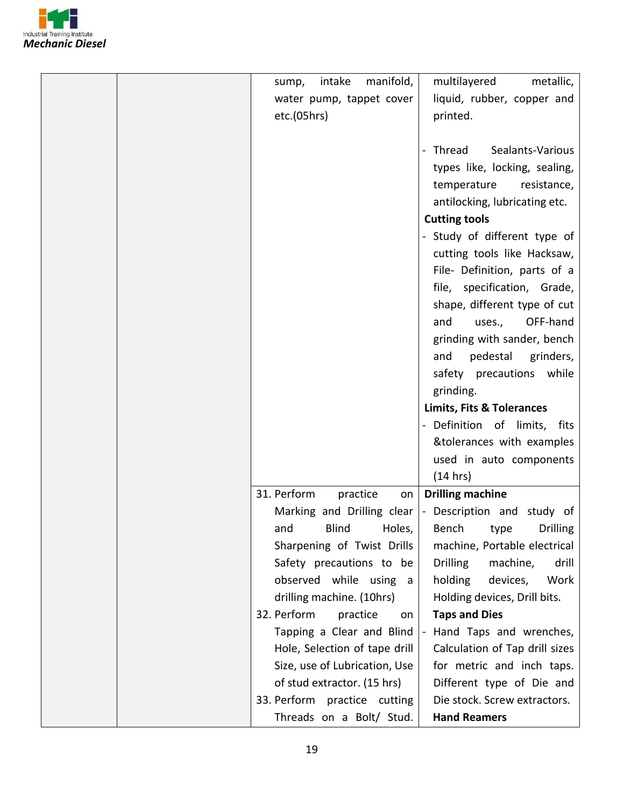

| intake<br>manifold,<br>sump,   | multilayered<br>metallic,            |
|--------------------------------|--------------------------------------|
| water pump, tappet cover       | liquid, rubber, copper and           |
| etc.(05hrs)                    | printed.                             |
|                                |                                      |
|                                | Thread<br>Sealants-Various           |
|                                | types like, locking, sealing,        |
|                                | temperature resistance,              |
|                                | antilocking, lubricating etc.        |
|                                | <b>Cutting tools</b>                 |
|                                | - Study of different type of         |
|                                | cutting tools like Hacksaw,          |
|                                | File- Definition, parts of a         |
|                                | file, specification, Grade,          |
|                                | shape, different type of cut         |
|                                | OFF-hand<br>and<br>uses.,            |
|                                | grinding with sander, bench          |
|                                | pedestal grinders,<br>and            |
|                                | safety precautions while             |
|                                | grinding.                            |
|                                |                                      |
|                                | <b>Limits, Fits &amp; Tolerances</b> |
|                                | - Definition of limits, fits         |
|                                | &tolerances with examples            |
|                                | used in auto components              |
|                                | (14 hrs)                             |
| 31. Perform<br>practice<br>on  | <b>Drilling machine</b>              |
| Marking and Drilling clear     | - Description and study of           |
| Blind Holes,<br>and            | Bench type<br><b>Drilling</b>        |
| Sharpening of Twist Drills     | machine, Portable electrical         |
| Safety precautions to be       | <b>Drilling</b><br>machine,<br>drill |
| observed while using<br>a a    | Work<br>holding<br>devices,          |
|                                |                                      |
| drilling machine. (10hrs)      | Holding devices, Drill bits.         |
| 32. Perform<br>practice<br>on. | <b>Taps and Dies</b>                 |
| Tapping a Clear and Blind      | Hand Taps and wrenches,              |
| Hole, Selection of tape drill  | Calculation of Tap drill sizes       |
| Size, use of Lubrication, Use  | for metric and inch taps.            |
| of stud extractor. (15 hrs)    | Different type of Die and            |
| 33. Perform practice cutting   | Die stock. Screw extractors.         |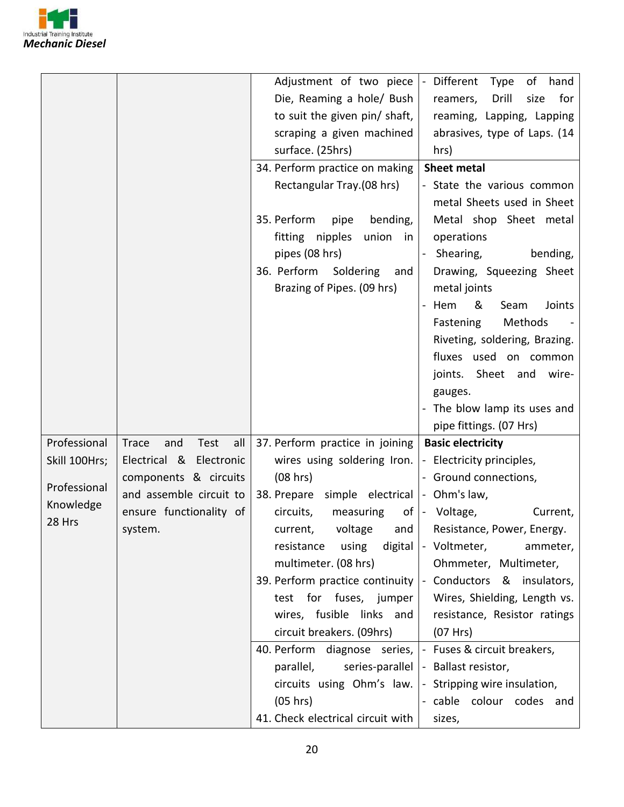

|               |                                    | Adjustment of two piece                                            | Different<br>Type<br>of<br>hand<br>$\blacksquare$        |
|---------------|------------------------------------|--------------------------------------------------------------------|----------------------------------------------------------|
|               |                                    | Die, Reaming a hole/ Bush                                          | Drill<br>for<br>reamers,<br>size                         |
|               |                                    | to suit the given pin/ shaft,                                      | reaming, Lapping, Lapping                                |
|               |                                    | scraping a given machined                                          | abrasives, type of Laps. (14                             |
|               |                                    | surface. (25hrs)                                                   | hrs)                                                     |
|               |                                    | 34. Perform practice on making                                     | <b>Sheet metal</b>                                       |
|               |                                    |                                                                    |                                                          |
|               |                                    | Rectangular Tray.(08 hrs)                                          | - State the various common<br>metal Sheets used in Sheet |
|               |                                    | 35. Perform<br>bending,<br>pipe                                    | Metal shop Sheet metal                                   |
|               |                                    | fitting nipples<br>union in                                        | operations                                               |
|               |                                    | pipes (08 hrs)                                                     | bending,<br>Shearing,<br>$\blacksquare$                  |
|               |                                    | 36. Perform<br>Soldering<br>and                                    | Drawing, Squeezing Sheet                                 |
|               |                                    | Brazing of Pipes. (09 hrs)                                         | metal joints                                             |
|               |                                    |                                                                    | Hem<br>&<br>Seam<br>Joints<br>$\equiv$                   |
|               |                                    |                                                                    | Methods<br>Fastening                                     |
|               |                                    |                                                                    | Riveting, soldering, Brazing.                            |
|               |                                    |                                                                    | fluxes used on common                                    |
|               |                                    |                                                                    | joints. Sheet and wire-                                  |
|               |                                    |                                                                    | gauges.                                                  |
|               |                                    |                                                                    |                                                          |
|               |                                    |                                                                    |                                                          |
|               |                                    |                                                                    | - The blow lamp its uses and                             |
|               |                                    |                                                                    | pipe fittings. (07 Hrs)                                  |
| Professional  | Test<br>all<br><b>Trace</b><br>and | 37. Perform practice in joining                                    | <b>Basic electricity</b>                                 |
| Skill 100Hrs; | Electrical & Electronic            | wires using soldering Iron.  - Electricity principles,             |                                                          |
| Professional  | components & circuits              | (08 hrs)                                                           | - Ground connections,                                    |
| Knowledge     | and assemble circuit to            | 38. Prepare simple electrical  - Ohm's law,                        |                                                          |
| 28 Hrs        | ensure functionality of            | measuring<br>circuits,                                             | of  - Voltage,<br>Current,                               |
|               | system.                            | voltage and<br>current,                                            | Resistance, Power, Energy.                               |
|               |                                    | using<br>resistance                                                | digital   Voltmeter,<br>ammeter,                         |
|               |                                    | multimeter. (08 hrs)                                               | Ohmmeter, Multimeter,                                    |
|               |                                    | 39. Perform practice continuity $\vert$ - Conductors & insulators, |                                                          |
|               |                                    | test for fuses, jumper                                             | Wires, Shielding, Length vs.                             |
|               |                                    | wires, fusible links and                                           | resistance, Resistor ratings                             |
|               |                                    | circuit breakers. (09hrs)                                          | (07 Hrs)                                                 |
|               |                                    | 40. Perform diagnose series,   - Fuses & circuit breakers,         |                                                          |
|               |                                    | parallel,                                                          | series-parallel   - Ballast resistor,                    |
|               |                                    | circuits using $Ohm's$ law. $\vert$ - Stripping wire insulation,   |                                                          |
|               |                                    | (05 hrs)<br>41. Check electrical circuit with                      | - cable colour codes and<br>sizes,                       |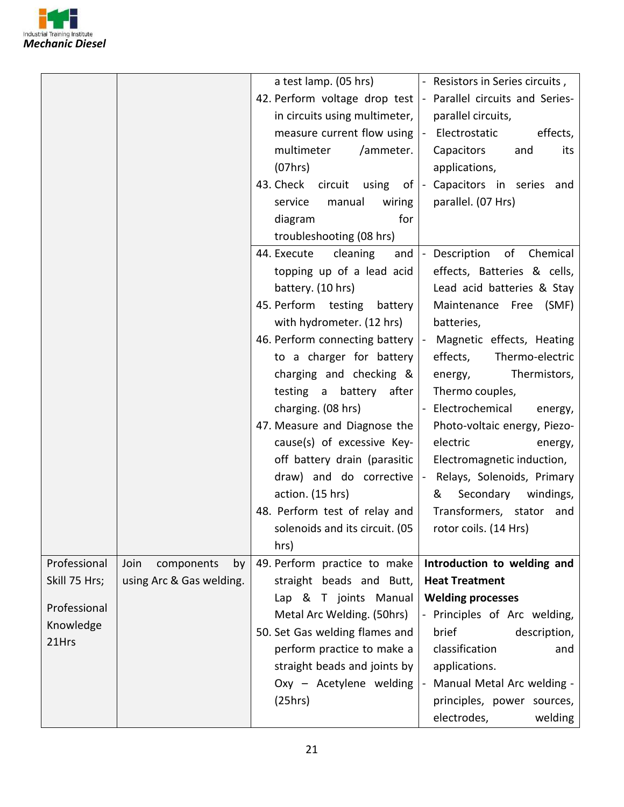

|               |                          |                                                                | a test lamp. $(05 \text{ hrs})$   Resistors in Series circuits, |
|---------------|--------------------------|----------------------------------------------------------------|-----------------------------------------------------------------|
|               |                          | 42. Perform voltage drop test  - Parallel circuits and Series- |                                                                 |
|               |                          | in circuits using multimeter,                                  | parallel circuits,                                              |
|               |                          | measure current flow using $\vert$ - Electrostatic             | effects,                                                        |
|               |                          | multimeter<br>/ammeter.                                        | Capacitors<br>and<br>its                                        |
|               |                          | (07hrs)                                                        | applications,                                                   |
|               |                          | 43. Check circuit using of  - Capacitors in series and         |                                                                 |
|               |                          | manual<br>wiring<br>service                                    | parallel. (07 Hrs)                                              |
|               |                          | for<br>diagram                                                 |                                                                 |
|               |                          | troubleshooting (08 hrs)                                       |                                                                 |
|               |                          | 44. Execute cleaning<br>and                                    | Description<br>of Chemical                                      |
|               |                          | topping up of a lead acid                                      | effects, Batteries & cells,                                     |
|               |                          | battery. (10 hrs)                                              | Lead acid batteries & Stay                                      |
|               |                          | 45. Perform testing battery                                    | Maintenance Free (SMF)                                          |
|               |                          | with hydrometer. (12 hrs)                                      | batteries,                                                      |
|               |                          | 46. Perform connecting battery                                 | Magnetic effects, Heating<br>$\blacksquare$                     |
|               |                          | to a charger for battery                                       | Thermo-electric<br>effects,                                     |
|               |                          | charging and checking &                                        | Thermistors,<br>energy,                                         |
|               |                          | testing a battery after                                        | Thermo couples,                                                 |
|               |                          | charging. (08 hrs)                                             | - Electrochemical<br>energy,                                    |
|               |                          | 47. Measure and Diagnose the                                   | Photo-voltaic energy, Piezo-                                    |
|               |                          | cause(s) of excessive Key-                                     | electric<br>energy,                                             |
|               |                          | off battery drain (parasitic                                   | Electromagnetic induction,                                      |
|               |                          | draw) and do corrective                                        | Relays, Solenoids, Primary<br>$\blacksquare$                    |
|               |                          | action. (15 hrs)                                               | Secondary windings,<br>&                                        |
|               |                          | 48. Perform test of relay and                                  | Transformers, stator and                                        |
|               |                          | solenoids and its circuit. (05                                 | rotor coils. (14 Hrs)                                           |
|               |                          | hrs)                                                           |                                                                 |
| Professional  | Join<br>components<br>by | 49. Perform practice to make                                   | Introduction to welding and                                     |
| Skill 75 Hrs; | using Arc & Gas welding. | straight beads and Butt,                                       | <b>Heat Treatment</b>                                           |
|               |                          | Lap & T joints Manual                                          | <b>Welding processes</b>                                        |
| Professional  |                          | Metal Arc Welding. (50hrs)                                     | - Principles of Arc welding,                                    |
| Knowledge     |                          | 50. Set Gas welding flames and                                 | brief<br>description,                                           |
| 21Hrs         |                          | perform practice to make a                                     | classification<br>and                                           |
|               |                          | straight beads and joints by                                   | applications.                                                   |
|               |                          | Oxy - Acetylene welding                                        | Manual Metal Arc welding -                                      |
|               |                          | (25hrs)                                                        | principles, power sources,                                      |
|               |                          |                                                                | electrodes,<br>welding                                          |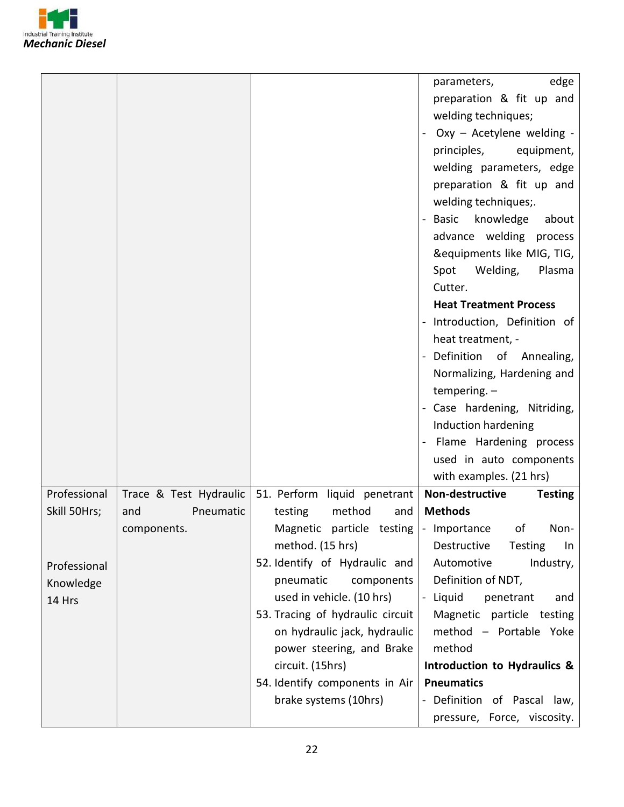

|                                        |                                  | principles,<br>Spot<br>Cutter.<br>tempering. $-$ | edge<br>parameters,<br>preparation & fit up and<br>welding techniques;<br>Oxy - Acetylene welding -<br>equipment,<br>welding parameters, edge<br>preparation & fit up and<br>welding techniques;.<br>- Basic knowledge<br>about<br>advance welding process<br>&equipments like MIG, TIG,<br>Welding,<br>Plasma<br><b>Heat Treatment Process</b><br>- Introduction, Definition of<br>heat treatment, -<br>- Definition of Annealing,<br>Normalizing, Hardening and<br>- Case hardening, Nitriding,<br>Induction hardening<br>Flame Hardening process<br>used in auto components<br>with examples. (21 hrs) |
|----------------------------------------|----------------------------------|--------------------------------------------------|-----------------------------------------------------------------------------------------------------------------------------------------------------------------------------------------------------------------------------------------------------------------------------------------------------------------------------------------------------------------------------------------------------------------------------------------------------------------------------------------------------------------------------------------------------------------------------------------------------------|
| Professional<br>Trace & Test Hydraulic | 51. Perform liquid penetrant     | Non-destructive                                  | <b>Testing</b>                                                                                                                                                                                                                                                                                                                                                                                                                                                                                                                                                                                            |
|                                        |                                  | <b>Methods</b>                                   |                                                                                                                                                                                                                                                                                                                                                                                                                                                                                                                                                                                                           |
| Skill 50Hrs;<br>and                    | Pneumatic<br>testing             | method<br>and<br>Magnetic particle testing       | οf<br>Non-                                                                                                                                                                                                                                                                                                                                                                                                                                                                                                                                                                                                |
| components.                            | method. (15 hrs)                 | - Importance<br>Destructive                      | Testing<br>In                                                                                                                                                                                                                                                                                                                                                                                                                                                                                                                                                                                             |
|                                        | 52. Identify of Hydraulic and    | Automotive                                       | Industry,                                                                                                                                                                                                                                                                                                                                                                                                                                                                                                                                                                                                 |
| Professional                           | pneumatic                        | components                                       | Definition of NDT,                                                                                                                                                                                                                                                                                                                                                                                                                                                                                                                                                                                        |
| Knowledge                              | used in vehicle. (10 hrs)        | - Liquid                                         | penetrant<br>and                                                                                                                                                                                                                                                                                                                                                                                                                                                                                                                                                                                          |
| 14 Hrs                                 | 53. Tracing of hydraulic circuit |                                                  | Magnetic particle testing                                                                                                                                                                                                                                                                                                                                                                                                                                                                                                                                                                                 |
|                                        |                                  | on hydraulic jack, hydraulic                     | method - Portable Yoke                                                                                                                                                                                                                                                                                                                                                                                                                                                                                                                                                                                    |
|                                        |                                  | power steering, and Brake<br>method              |                                                                                                                                                                                                                                                                                                                                                                                                                                                                                                                                                                                                           |
|                                        | circuit. (15hrs)                 |                                                  | Introduction to Hydraulics &                                                                                                                                                                                                                                                                                                                                                                                                                                                                                                                                                                              |
|                                        | 54. Identify components in Air   | <b>Pneumatics</b>                                |                                                                                                                                                                                                                                                                                                                                                                                                                                                                                                                                                                                                           |
|                                        | brake systems (10hrs)            |                                                  | - Definition of Pascal law,                                                                                                                                                                                                                                                                                                                                                                                                                                                                                                                                                                               |
|                                        |                                  |                                                  | pressure, Force, viscosity.                                                                                                                                                                                                                                                                                                                                                                                                                                                                                                                                                                               |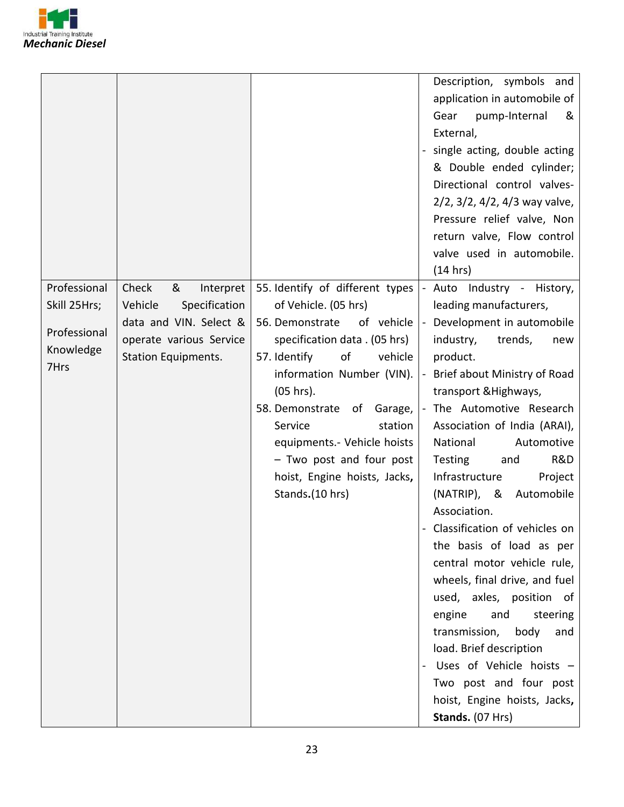

|                                           |                                                                               |                                                                                                                                                                                                                                                 | Description, symbols and<br>application in automobile of<br>Gear<br>pump-Internal<br>&<br>External,<br>single acting, double acting<br>& Double ended cylinder;<br>Directional control valves-<br>2/2, 3/2, 4/2, 4/3 way valve,<br>Pressure relief valve, Non<br>return valve, Flow control<br>valve used in automobile.<br>(14 hrs)                                                                                                                                                                                                                                                                                        |
|-------------------------------------------|-------------------------------------------------------------------------------|-------------------------------------------------------------------------------------------------------------------------------------------------------------------------------------------------------------------------------------------------|-----------------------------------------------------------------------------------------------------------------------------------------------------------------------------------------------------------------------------------------------------------------------------------------------------------------------------------------------------------------------------------------------------------------------------------------------------------------------------------------------------------------------------------------------------------------------------------------------------------------------------|
| Skill 25Hrs;<br>Professional<br>Knowledge | Vehicle<br>Specification<br>data and VIN. Select &<br>operate various Service | of Vehicle. (05 hrs)<br>of vehicle<br>56. Demonstrate<br>specification data . (05 hrs)                                                                                                                                                          | leading manufacturers,<br>- Development in automobile<br>industry,<br>trends,<br>new                                                                                                                                                                                                                                                                                                                                                                                                                                                                                                                                        |
| 7Hrs                                      | <b>Station Equipments.</b>                                                    | vehicle<br>of<br>57. Identify<br>information Number (VIN).<br>$(05 hrs)$ .<br>58. Demonstrate<br>of Garage,<br>Service<br>station<br>equipments.- Vehicle hoists<br>- Two post and four post<br>hoist, Engine hoists, Jacks,<br>Stands.(10 hrs) | product.<br>- Brief about Ministry of Road<br>transport & Highways,<br>- The Automotive Research<br>Association of India (ARAI),<br>National<br>Automotive<br>Testing<br>R&D<br>and<br>Infrastructure<br>Project<br>$(NATRIP)$ , &<br>Automobile<br>Association.<br>Classification of vehicles on<br>the basis of load as per<br>central motor vehicle rule,<br>wheels, final drive, and fuel<br>used, axles, position of<br>and<br>engine<br>steering<br>transmission,<br>body<br>and<br>load. Brief description<br>Uses of Vehicle hoists -<br>Two post and four post<br>hoist, Engine hoists, Jacks,<br>Stands. (07 Hrs) |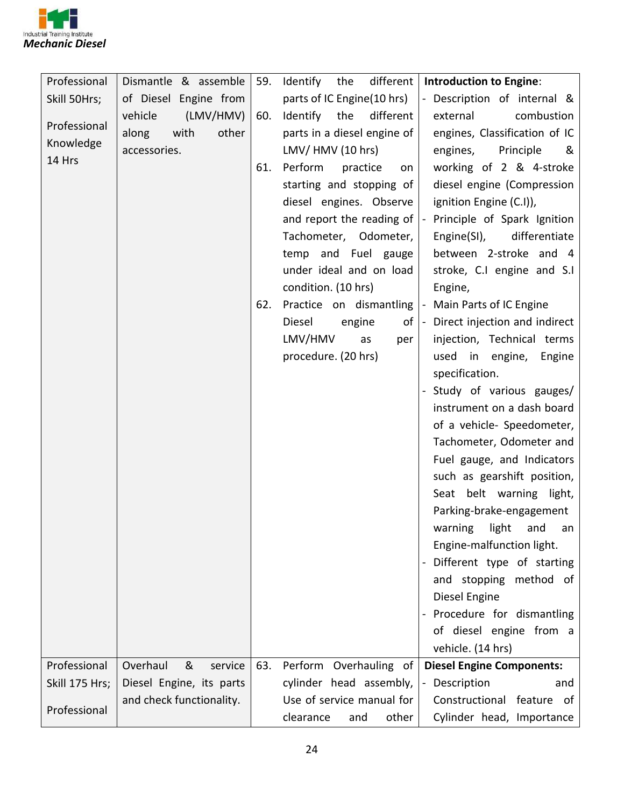

| Professional   | Dismantle & assemble     | 59. | Identify<br>different<br>the                       | <b>Introduction to Engine:</b>                |
|----------------|--------------------------|-----|----------------------------------------------------|-----------------------------------------------|
| Skill 50Hrs;   | of Diesel Engine from    |     | parts of IC Engine(10 hrs)                         | Description of internal &                     |
|                | (LMV/HMV)<br>vehicle     | 60. | Identify<br>the<br>different                       | combustion<br>external                        |
| Professional   | other<br>with<br>along   |     | parts in a diesel engine of                        | engines, Classification of IC                 |
| Knowledge      | accessories.             |     | LMV/HMV (10 hrs)                                   | engines,<br>Principle<br>&                    |
| 14 Hrs         |                          | 61. | Perform<br>practice<br>on                          | working of 2 & 4-stroke                       |
|                |                          |     | starting and stopping of                           | diesel engine (Compression                    |
|                |                          |     | diesel engines. Observe                            | ignition Engine (C.I)),                       |
|                |                          |     | and report the reading of                          | Principle of Spark Ignition<br>$\blacksquare$ |
|                |                          |     | Tachometer, Odometer,                              | Engine(SI),<br>differentiate                  |
|                |                          |     | temp and Fuel gauge                                | between 2-stroke and 4                        |
|                |                          |     | under ideal and on load                            | stroke, C.I engine and S.I                    |
|                |                          |     | condition. (10 hrs)                                | Engine,                                       |
|                |                          | 62. | Practice on dismantling  - Main Parts of IC Engine |                                               |
|                |                          |     | Diesel<br>engine                                   | of  - Direct injection and indirect           |
|                |                          |     | LMV/HMV<br>as<br>per                               | injection, Technical terms                    |
|                |                          |     | procedure. (20 hrs)                                | used in engine, Engine                        |
|                |                          |     |                                                    | specification.                                |
|                |                          |     |                                                    | Study of various gauges/                      |
|                |                          |     |                                                    | instrument on a dash board                    |
|                |                          |     |                                                    | of a vehicle- Speedometer,                    |
|                |                          |     |                                                    | Tachometer, Odometer and                      |
|                |                          |     |                                                    | Fuel gauge, and Indicators                    |
|                |                          |     |                                                    | such as gearshift position,                   |
|                |                          |     |                                                    | Seat belt warning light,                      |
|                |                          |     |                                                    | Parking-brake-engagement                      |
|                |                          |     |                                                    | warning light and an                          |
|                |                          |     |                                                    | Engine-malfunction light.                     |
|                |                          |     |                                                    | Different type of starting                    |
|                |                          |     |                                                    | and stopping method of                        |
|                |                          |     |                                                    | Diesel Engine                                 |
|                |                          |     |                                                    | Procedure for dismantling                     |
|                |                          |     |                                                    | of diesel engine from a                       |
|                |                          |     |                                                    | vehicle. (14 hrs)                             |
| Professional   | Overhaul<br>&<br>service | 63. | Perform Overhauling of                             | <b>Diesel Engine Components:</b>              |
| Skill 175 Hrs; | Diesel Engine, its parts |     | cylinder head assembly,                            | Description<br>and                            |
|                | and check functionality. |     | Use of service manual for                          | Constructional feature of                     |
| Professional   |                          |     | clearance<br>other<br>and                          | Cylinder head, Importance                     |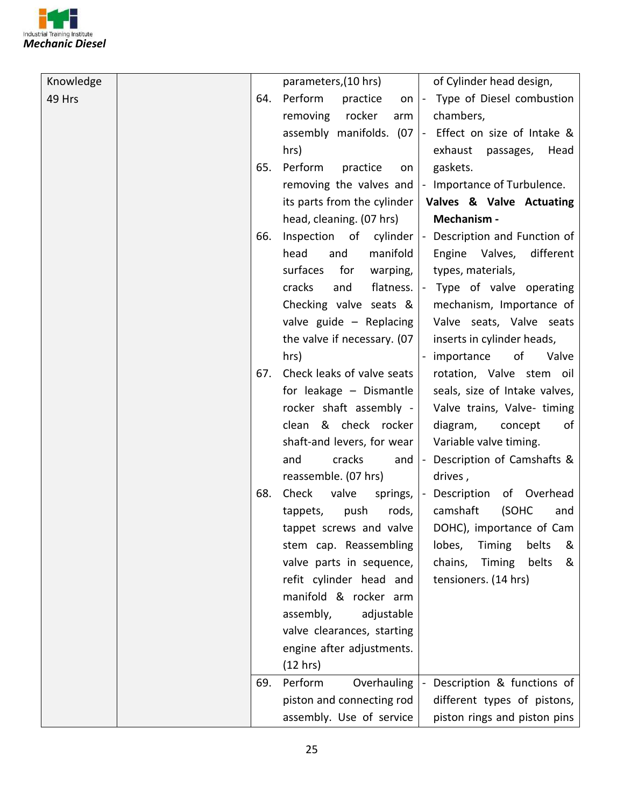

| Knowledge |     | parameters, (10 hrs)        | of Cylinder head design,                                            |
|-----------|-----|-----------------------------|---------------------------------------------------------------------|
| 49 Hrs    | 64. | Perform<br>practice         | on  - Type of Diesel combustion                                     |
|           |     | removing<br>rocker<br>arm   | chambers,                                                           |
|           |     |                             | assembly manifolds. $(07 \mid - \text{Effect on size of Intake } 8$ |
|           |     | hrs)                        | exhaust<br>passages,<br>Head                                        |
|           | 65. | Perform<br>practice<br>on   | gaskets.                                                            |
|           |     |                             | removing the valves and  - Importance of Turbulence.                |
|           |     | its parts from the cylinder | Valves & Valve Actuating                                            |
|           |     | head, cleaning. (07 hrs)    | Mechanism -                                                         |
|           | 66. |                             | Inspection of cylinder  - Description and Function of               |
|           |     | head<br>manifold<br>and     | Engine Valves,<br>different                                         |
|           |     | surfaces<br>for<br>warping, | types, materials,                                                   |
|           |     | cracks<br>flatness.<br>and  | - Type of valve operating                                           |
|           |     | Checking valve seats &      | mechanism, Importance of                                            |
|           |     | valve guide - Replacing     | Valve seats, Valve seats                                            |
|           |     | the valve if necessary. (07 | inserts in cylinder heads,                                          |
|           |     | hrs)                        | - importance<br>of<br>Valve                                         |
|           | 67. | Check leaks of valve seats  | rotation, Valve stem oil                                            |
|           |     | for leakage - Dismantle     | seals, size of Intake valves,                                       |
|           |     | rocker shaft assembly -     | Valve trains, Valve- timing                                         |
|           |     | clean & check rocker        | diagram,<br>of<br>concept                                           |
|           |     | shaft-and levers, for wear  | Variable valve timing.                                              |
|           |     | cracks<br>and<br>and        | - Description of Camshafts &                                        |
|           |     | reassemble. (07 hrs)        | drives,                                                             |
|           | 68. | Check<br>valve<br>springs,  | - Description<br>of Overhead                                        |
|           |     | push<br>tappets,<br>rods,   | camshaft<br>(SOHC<br>and                                            |
|           |     | tappet screws and valve     | DOHC), importance of Cam                                            |
|           |     | stem cap. Reassembling      | belts<br>lobes,<br>Timing<br>&                                      |
|           |     | valve parts in sequence,    | Timing<br>belts<br>chains,<br>&                                     |
|           |     | refit cylinder head and     | tensioners. (14 hrs)                                                |
|           |     | manifold & rocker arm       |                                                                     |
|           |     | assembly,<br>adjustable     |                                                                     |
|           |     | valve clearances, starting  |                                                                     |
|           |     | engine after adjustments.   |                                                                     |
|           |     | (12 hrs)                    |                                                                     |
|           | 69. | Perform<br>Overhauling      | Description & functions of                                          |
|           |     | piston and connecting rod   | different types of pistons,                                         |
|           |     | assembly. Use of service    | piston rings and piston pins                                        |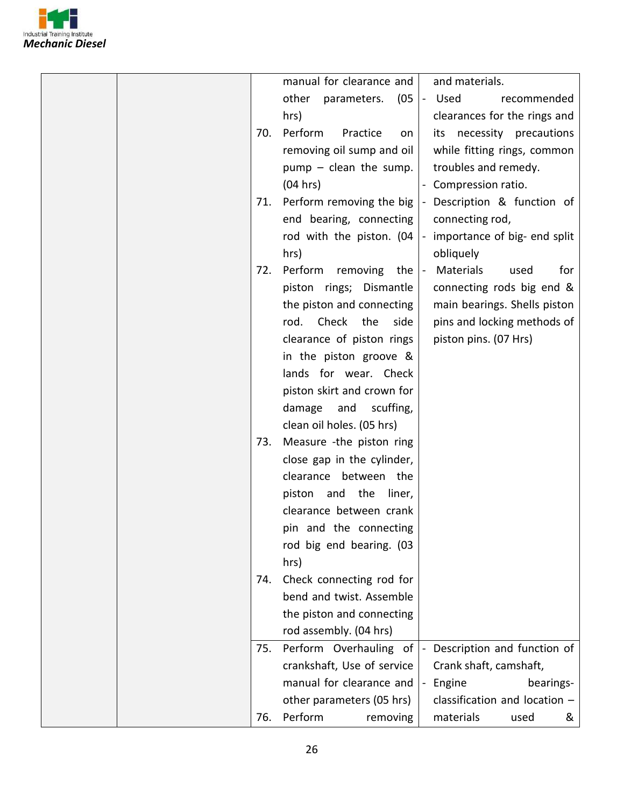

|  |     | manual for clearance and            | and materials.                    |
|--|-----|-------------------------------------|-----------------------------------|
|  |     | other<br>parameters.<br>(05)        | - Used<br>recommended             |
|  |     | hrs)                                | clearances for the rings and      |
|  | 70. | Perform<br>Practice<br>on           | its necessity precautions         |
|  |     | removing oil sump and oil           | while fitting rings, common       |
|  |     | $pump - clean$ the sump.            | troubles and remedy.              |
|  |     | (04 hrs)                            | - Compression ratio.              |
|  | 71. | Perform removing the big            | - Description & function of       |
|  |     | end bearing, connecting             | connecting rod,                   |
|  |     | rod with the piston. $(04$  -       | importance of big- end split      |
|  |     | hrs)                                | obliquely                         |
|  | 72. | Perform removing                    | Materials<br>for                  |
|  |     | the $ -$<br>piston rings; Dismantle | used<br>connecting rods big end & |
|  |     |                                     |                                   |
|  |     | the piston and connecting           | main bearings. Shells piston      |
|  |     | rod. Check the<br>side              | pins and locking methods of       |
|  |     | clearance of piston rings           | piston pins. (07 Hrs)             |
|  |     | in the piston groove &              |                                   |
|  |     | lands for wear. Check               |                                   |
|  |     | piston skirt and crown for          |                                   |
|  |     | damage<br>and<br>scuffing,          |                                   |
|  |     | clean oil holes. (05 hrs)           |                                   |
|  | 73. | Measure -the piston ring            |                                   |
|  |     | close gap in the cylinder,          |                                   |
|  |     | clearance between the               |                                   |
|  |     | piston and the<br>liner,            |                                   |
|  |     | clearance between crank             |                                   |
|  |     | pin and the connecting              |                                   |
|  |     | rod big end bearing. (03            |                                   |
|  |     | hrs)                                |                                   |
|  | 74. | Check connecting rod for            |                                   |
|  |     | bend and twist. Assemble            |                                   |
|  |     | the piston and connecting           |                                   |
|  |     | rod assembly. (04 hrs)              |                                   |
|  | 75. | Perform Overhauling of              | Description and function of       |
|  |     | crankshaft, Use of service          | Crank shaft, camshaft,            |
|  |     | manual for clearance and            | Engine<br>bearings-               |
|  |     | other parameters (05 hrs)           | classification and location $-$   |
|  | 76. | Perform<br>removing                 | materials<br>used<br>&            |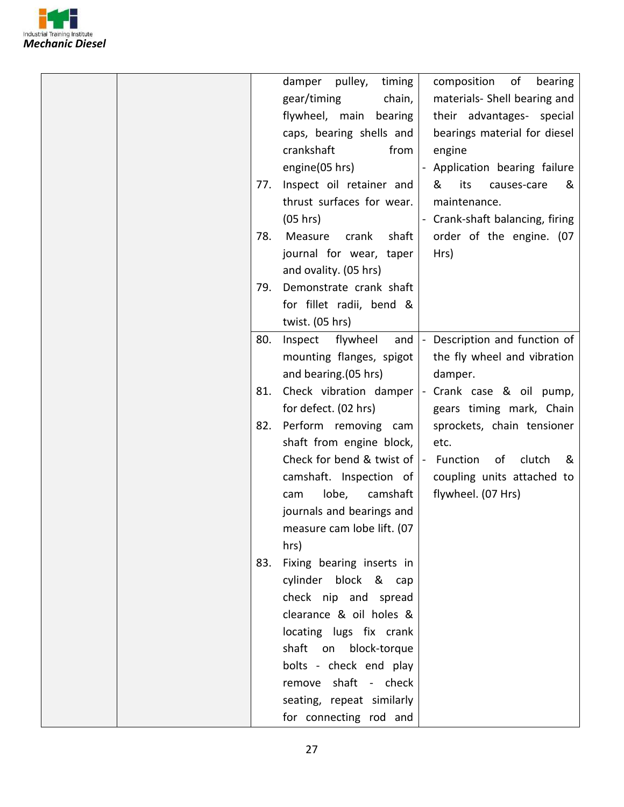

|     | timing<br>damper pulley,                     | composition of<br>bearing                     |
|-----|----------------------------------------------|-----------------------------------------------|
|     | gear/timing<br>chain,                        | materials- Shell bearing and                  |
|     | flywheel, main bearing                       | their advantages- special                     |
|     | caps, bearing shells and                     | bearings material for diesel                  |
|     | crankshaft<br>from                           |                                               |
|     |                                              | engine                                        |
|     | engine(05 hrs)                               | Application bearing failure                   |
| 77. | Inspect oil retainer and                     | &<br>its<br>&<br>causes-care                  |
|     | thrust surfaces for wear.                    | maintenance.                                  |
|     | (05 hrs)                                     | - Crank-shaft balancing, firing               |
| 78. | shaft<br>Measure crank                       | order of the engine. (07                      |
|     | journal for wear, taper                      | Hrs)                                          |
|     | and ovality. (05 hrs)                        |                                               |
| 79. | Demonstrate crank shaft                      |                                               |
|     | for fillet radii, bend &                     |                                               |
|     | twist. (05 hrs)                              |                                               |
| 80. | Inspect flywheel<br>and                      | Description and function of<br>$\blacksquare$ |
|     | mounting flanges, spigot                     | the fly wheel and vibration                   |
|     | and bearing. (05 hrs)                        | damper.                                       |
| 81. | Check vibration damper                       | - Crank case & oil pump,                      |
|     | for defect. (02 hrs)                         | gears timing mark, Chain                      |
| 82. | Perform removing cam                         | sprockets, chain tensioner                    |
|     | shaft from engine block,                     | etc.                                          |
|     | Check for bend & twist of $\vert$ - Function | clutch<br>of<br>&                             |
|     | camshaft. Inspection of                      | coupling units attached to                    |
|     | lobe,<br>camshaft<br>cam                     | flywheel. (07 Hrs)                            |
|     | journals and bearings and                    |                                               |
|     | measure cam lobe lift. (07                   |                                               |
|     | hrs)                                         |                                               |
| 83. | Fixing bearing inserts in                    |                                               |
|     | cylinder block & cap                         |                                               |
|     | check nip and spread                         |                                               |
|     | clearance & oil holes &                      |                                               |
|     | locating lugs fix crank                      |                                               |
|     | shaft on<br>block-torque                     |                                               |
|     | bolts - check end play                       |                                               |
|     | remove shaft - check                         |                                               |
|     |                                              |                                               |
|     | seating, repeat similarly                    |                                               |
|     | for connecting rod and                       |                                               |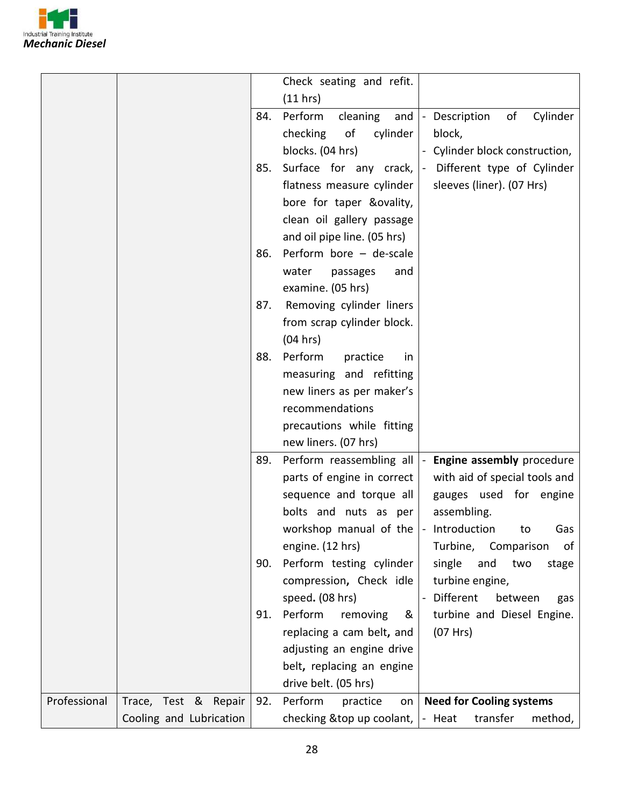

|              |                         |     | Check seating and refit.                         |                                 |         |          |
|--------------|-------------------------|-----|--------------------------------------------------|---------------------------------|---------|----------|
|              |                         |     | (11 hrs)                                         |                                 |         |          |
|              |                         | 84. | Perform<br>cleaning<br>and                       | - Description                   | of      | Cylinder |
|              |                         |     | checking<br>of<br>cylinder                       | block,                          |         |          |
|              |                         |     | blocks. (04 hrs)                                 | Cylinder block construction,    |         |          |
|              |                         | 85. | Surface for any crack,                           | - Different type of Cylinder    |         |          |
|              |                         |     | flatness measure cylinder                        | sleeves (liner). (07 Hrs)       |         |          |
|              |                         |     | bore for taper &ovality,                         |                                 |         |          |
|              |                         |     | clean oil gallery passage                        |                                 |         |          |
|              |                         |     | and oil pipe line. (05 hrs)                      |                                 |         |          |
|              |                         |     | 86. Perform bore - de-scale                      |                                 |         |          |
|              |                         |     | water<br>passages<br>and                         |                                 |         |          |
|              |                         |     | examine. (05 hrs)                                |                                 |         |          |
|              |                         | 87. | Removing cylinder liners                         |                                 |         |          |
|              |                         |     | from scrap cylinder block.                       |                                 |         |          |
|              |                         |     | (04 hrs)                                         |                                 |         |          |
|              |                         | 88. | Perform<br>practice<br>in                        |                                 |         |          |
|              |                         |     | measuring and refitting                          |                                 |         |          |
|              |                         |     | new liners as per maker's                        |                                 |         |          |
|              |                         |     | recommendations                                  |                                 |         |          |
|              |                         |     | precautions while fitting                        |                                 |         |          |
|              |                         |     | new liners. (07 hrs)                             |                                 |         |          |
|              |                         |     | 89. Perform reassembling all                     | - Engine assembly procedure     |         |          |
|              |                         |     | parts of engine in correct                       | with aid of special tools and   |         |          |
|              |                         |     | sequence and torque all                          | gauges used for engine          |         |          |
|              |                         |     | bolts and nuts as per                            | assembling.                     |         |          |
|              |                         |     | workshop manual of the $\vert$ - Introduction to |                                 |         | Gas      |
|              |                         |     | engine. (12 hrs)                                 | Turbine, Comparison             |         | of       |
|              |                         | 90. | Perform testing cylinder                         | single<br>and                   | two     | stage    |
|              |                         |     | compression, Check idle                          | turbine engine,                 |         |          |
|              |                         |     | speed. (08 hrs)                                  | Different                       | between | gas      |
|              |                         | 91. | Perform<br>removing<br>&                         | turbine and Diesel Engine.      |         |          |
|              |                         |     | replacing a cam belt, and                        | (07 Hrs)                        |         |          |
|              |                         |     | adjusting an engine drive                        |                                 |         |          |
|              |                         |     | belt, replacing an engine                        |                                 |         |          |
|              |                         |     | drive belt. (05 hrs)                             |                                 |         |          |
| Professional | Trace, Test & Repair    | 92. | Perform<br>practice<br>on                        | <b>Need for Cooling systems</b> |         |          |
|              | Cooling and Lubrication |     | checking $⊤$ up coolant, $\vert$ - Heat          | transfer                        |         | method,  |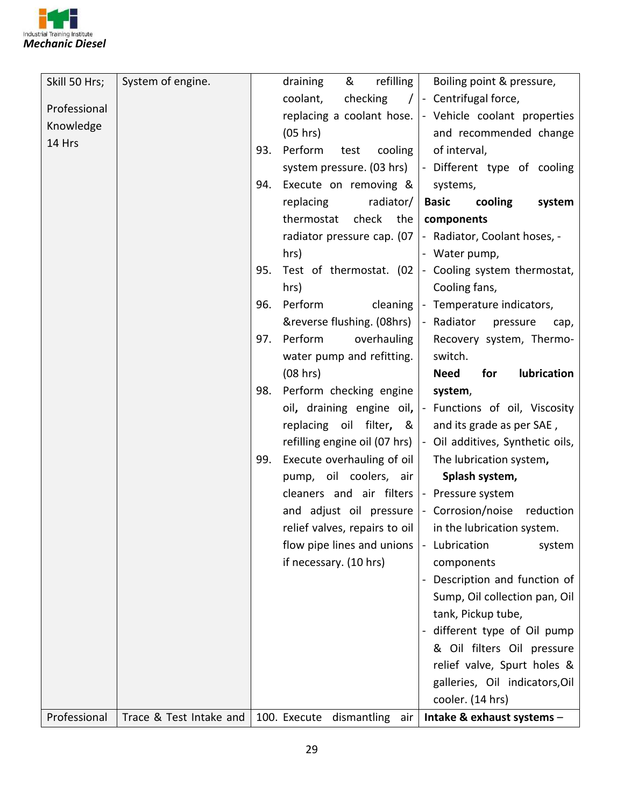

| Skill 50 Hrs; | System of engine.       |     | & refilling<br>draining                                      | Boiling point & pressure,                                     |
|---------------|-------------------------|-----|--------------------------------------------------------------|---------------------------------------------------------------|
| Professional  |                         |     | coolant,<br>checking<br>$\sqrt{ }$                           | - Centrifugal force,                                          |
|               |                         |     |                                                              | replacing a coolant hose.  - Vehicle coolant properties       |
| Knowledge     |                         |     | (05 hrs)                                                     | and recommended change                                        |
| 14 Hrs        |                         | 93. | Perform<br>cooling<br>test                                   | of interval,                                                  |
|               |                         |     |                                                              | system pressure. (03 hrs) $\vert$ - Different type of cooling |
|               |                         | 94. | Execute on removing &                                        | systems,                                                      |
|               |                         |     | radiator/<br>replacing                                       | <b>Basic</b><br>cooling<br>system                             |
|               |                         |     | check the<br>thermostat                                      | components                                                    |
|               |                         |     | radiator pressure cap. (07                                   | - Radiator, Coolant hoses, -                                  |
|               |                         |     | hrs)                                                         | - Water pump,                                                 |
|               |                         | 95. | Test of thermostat. (02                                      | - Cooling system thermostat,                                  |
|               |                         |     | hrs)                                                         | Cooling fans,                                                 |
|               |                         | 96. | Perform<br>cleaning                                          | - Temperature indicators,                                     |
|               |                         |     | &reverse flushing. (08hrs)                                   | - Radiator<br>pressure<br>cap,                                |
|               |                         | 97. | Perform<br>overhauling                                       | Recovery system, Thermo-                                      |
|               |                         |     | water pump and refitting.                                    | switch.                                                       |
|               |                         |     | (08 hrs)                                                     | <b>Need</b><br>for<br>lubrication                             |
|               |                         | 98. | Perform checking engine                                      | system,                                                       |
|               |                         |     | oil, draining engine oil,                                    | - Functions of oil, Viscosity                                 |
|               |                         |     | replacing oil filter, &                                      | and its grade as per SAE,                                     |
|               |                         |     | refilling engine oil (07 hrs)                                | - Oil additives, Synthetic oils,                              |
|               |                         | 99. | Execute overhauling of oil                                   | The lubrication system,                                       |
|               |                         |     | pump, oil coolers, air                                       | Splash system,                                                |
|               |                         |     | cleaners and air filters                                     | - Pressure system                                             |
|               |                         |     |                                                              | and adjust oil pressure $\vert$ - Corrosion/noise reduction   |
|               |                         |     | relief valves, repairs to oil $ $ in the lubrication system. |                                                               |
|               |                         |     | flow pipe lines and unions                                   | - Lubrication<br>system                                       |
|               |                         |     | if necessary. (10 hrs)                                       | components                                                    |
|               |                         |     |                                                              | Description and function of                                   |
|               |                         |     |                                                              | Sump, Oil collection pan, Oil                                 |
|               |                         |     |                                                              | tank, Pickup tube,                                            |
|               |                         |     |                                                              | different type of Oil pump                                    |
|               |                         |     |                                                              | & Oil filters Oil pressure                                    |
|               |                         |     |                                                              | relief valve, Spurt holes &                                   |
|               |                         |     |                                                              | galleries, Oil indicators, Oil                                |
|               |                         |     |                                                              | cooler. (14 hrs)                                              |
| Professional  | Trace & Test Intake and |     | 100. Execute dismantling air                                 | Intake & exhaust systems -                                    |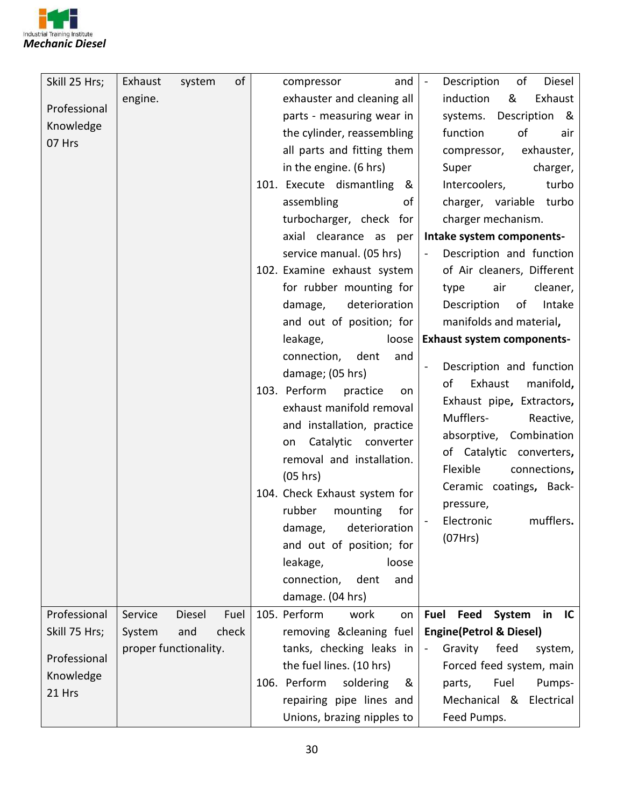

| Skill 25 Hrs; | Exhaust | system                | of    | and<br>compressor              | $\sim$              | of<br>Description<br>Diesel         |
|---------------|---------|-----------------------|-------|--------------------------------|---------------------|-------------------------------------|
| Professional  | engine. |                       |       | exhauster and cleaning all     |                     | &<br>Exhaust<br>induction           |
|               |         |                       |       | parts - measuring wear in      |                     | Description<br>systems.<br>୍ଷ       |
| Knowledge     |         |                       |       | the cylinder, reassembling     |                     | of<br>function<br>air               |
| 07 Hrs        |         |                       |       | all parts and fitting them     |                     | compressor,<br>exhauster,           |
|               |         |                       |       | in the engine. (6 hrs)         |                     | charger,<br>Super                   |
|               |         |                       |       | 101. Execute dismantling<br>୍ଷ |                     | Intercoolers,<br>turbo              |
|               |         |                       |       | assembling<br>of               |                     | charger, variable turbo             |
|               |         |                       |       | turbocharger, check for        |                     | charger mechanism.                  |
|               |         |                       |       | axial clearance as per         |                     | Intake system components-           |
|               |         |                       |       | service manual. (05 hrs)       | $\bar{\phantom{a}}$ | Description and function            |
|               |         |                       |       | 102. Examine exhaust system    |                     | of Air cleaners, Different          |
|               |         |                       |       | for rubber mounting for        |                     | cleaner,<br>air<br>type             |
|               |         |                       |       | deterioration<br>damage,       |                     | of<br>Intake<br>Description         |
|               |         |                       |       | and out of position; for       |                     | manifolds and material,             |
|               |         |                       |       | leakage,<br>loose              |                     | <b>Exhaust system components-</b>   |
|               |         |                       |       | connection,<br>dent<br>and     |                     |                                     |
|               |         |                       |       | damage; (05 hrs)               |                     | Description and function            |
|               |         |                       |       | 103. Perform<br>practice<br>on |                     | manifold,<br>of<br>Exhaust          |
|               |         |                       |       | exhaust manifold removal       |                     | Exhaust pipe, Extractors,           |
|               |         |                       |       | and installation, practice     |                     | Mufflers-<br>Reactive,              |
|               |         |                       |       | Catalytic converter<br>on      |                     | absorptive, Combination             |
|               |         |                       |       | removal and installation.      |                     | of Catalytic converters,            |
|               |         |                       |       | (05 hrs)                       |                     | Flexible<br>connections,            |
|               |         |                       |       | 104. Check Exhaust system for  |                     | Ceramic coatings, Back-             |
|               |         |                       |       | rubber<br>mounting<br>for      |                     | pressure,                           |
|               |         |                       |       | damage, deterioration          |                     | mufflers.<br>Electronic             |
|               |         |                       |       | and out of position; for       |                     | (07Hrs)                             |
|               |         |                       |       | leakage,<br>loose              |                     |                                     |
|               |         |                       |       | connection,<br>dent<br>and     |                     |                                     |
|               |         |                       |       | damage. (04 hrs)               |                     |                                     |
| Professional  | Service | Diesel                | Fuel  | 105. Perform<br>work<br>on     | Fuel                | System<br>Feed<br>in<br>IC          |
| Skill 75 Hrs; | System  | and                   | check | removing & cleaning fuel       |                     | <b>Engine (Petrol &amp; Diesel)</b> |
|               |         | proper functionality. |       | tanks, checking leaks in       | $\blacksquare$      | feed<br>Gravity<br>system,          |
| Professional  |         |                       |       | the fuel lines. (10 hrs)       |                     | Forced feed system, main            |
| Knowledge     |         |                       |       | 106. Perform<br>soldering<br>& |                     | Fuel<br>Pumps-<br>parts,            |
| 21 Hrs        |         |                       |       | repairing pipe lines and       |                     | Mechanical &<br>Electrical          |
|               |         |                       |       | Unions, brazing nipples to     |                     | Feed Pumps.                         |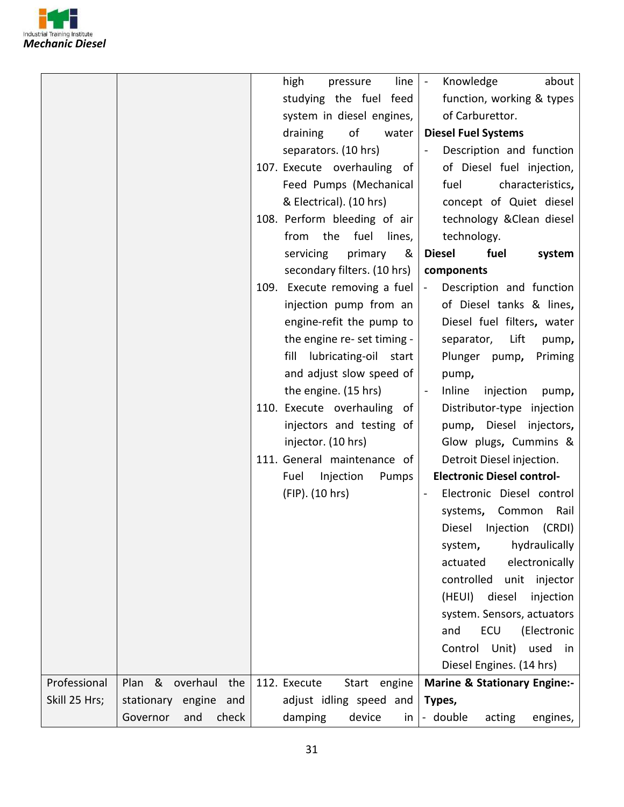

|               |                             | high<br>Knowledge<br>about<br>line<br>pressure<br>$\sim$                                                          |
|---------------|-----------------------------|-------------------------------------------------------------------------------------------------------------------|
|               |                             | studying the fuel feed<br>function, working & types                                                               |
|               |                             | of Carburettor.<br>system in diesel engines,                                                                      |
|               |                             | draining<br>of<br><b>Diesel Fuel Systems</b><br>water                                                             |
|               |                             | separators. (10 hrs)<br>Description and function                                                                  |
|               |                             | 107. Execute overhauling of<br>of Diesel fuel injection,                                                          |
|               |                             | Feed Pumps (Mechanical<br>characteristics,<br>fuel                                                                |
|               |                             | & Electrical). (10 hrs)<br>concept of Quiet diesel                                                                |
|               |                             | 108. Perform bleeding of air<br>technology & Clean diesel                                                         |
|               |                             | the fuel<br>lines,<br>technology.<br>from                                                                         |
|               |                             | servicing<br>primary<br>&<br><b>Diesel</b><br>fuel<br>system                                                      |
|               |                             |                                                                                                                   |
|               |                             | secondary filters. (10 hrs)<br>components<br>109. Execute removing a fuel<br>Description and function<br>$\omega$ |
|               |                             |                                                                                                                   |
|               |                             | of Diesel tanks & lines,<br>injection pump from an                                                                |
|               |                             | engine-refit the pump to<br>Diesel fuel filters, water                                                            |
|               |                             | the engine re- set timing -<br>Lift<br>separator,<br>pump,                                                        |
|               |                             | fill lubricating-oil start<br>Plunger pump,<br>Priming                                                            |
|               |                             | and adjust slow speed of<br>pump,                                                                                 |
|               |                             | the engine. (15 hrs)<br>Inline<br>injection<br>pump,<br>$\blacksquare$                                            |
|               |                             | 110. Execute overhauling of<br>Distributor-type injection                                                         |
|               |                             | injectors and testing of<br>Diesel<br>injectors,<br>pump,                                                         |
|               |                             | injector. (10 hrs)<br>Glow plugs, Cummins &                                                                       |
|               |                             | 111. General maintenance of<br>Detroit Diesel injection.                                                          |
|               |                             | <b>Electronic Diesel control-</b><br>Fuel<br>Injection<br>Pumps                                                   |
|               |                             | (FIP). (10 hrs)<br>Electronic Diesel control                                                                      |
|               |                             | systems, Common<br>Rail                                                                                           |
|               |                             | Diesel Injection (CRDI)                                                                                           |
|               |                             | hydraulically<br>system,                                                                                          |
|               |                             | electronically<br>actuated                                                                                        |
|               |                             | controlled<br>injector<br>unit                                                                                    |
|               |                             | (HEUI)<br>diesel<br>injection                                                                                     |
|               |                             | system. Sensors, actuators                                                                                        |
|               |                             | ECU<br>(Electronic<br>and                                                                                         |
|               |                             | Unit)<br>Control<br>used<br>in                                                                                    |
|               |                             | Diesel Engines. (14 hrs)                                                                                          |
| Professional  | Plan & overhaul<br>the      | 112. Execute<br>Start engine<br><b>Marine &amp; Stationary Engine:-</b>                                           |
| Skill 25 Hrs; | stationary<br>engine<br>and | adjust idling speed and<br>Types,                                                                                 |
|               | Governor<br>and<br>check    | damping<br>device<br>- double<br>acting<br>in<br>engines,                                                         |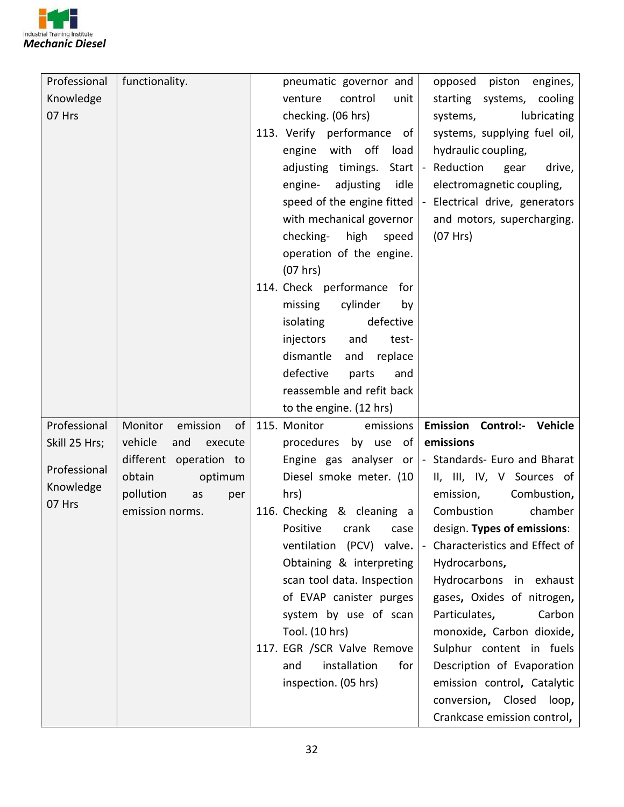

| Professional  | functionality.            | pneumatic governor and        | opposed piston engines,                              |
|---------------|---------------------------|-------------------------------|------------------------------------------------------|
| Knowledge     |                           | venture<br>control<br>unit    | starting systems, cooling                            |
| 07 Hrs        |                           | checking. (06 hrs)            | systems,<br>lubricating                              |
|               |                           | 113. Verify performance of    | systems, supplying fuel oil,                         |
|               |                           | off<br>engine<br>with<br>load | hydraulic coupling,                                  |
|               |                           | adjusting timings.<br>Start   | - Reduction<br>drive,<br>gear                        |
|               |                           | adjusting<br>idle<br>engine-  | electromagnetic coupling,                            |
|               |                           | speed of the engine fitted    | - Electrical drive, generators                       |
|               |                           | with mechanical governor      | and motors, supercharging.                           |
|               |                           | checking-<br>high<br>speed    | (07 Hrs)                                             |
|               |                           | operation of the engine.      |                                                      |
|               |                           | (07 hrs)                      |                                                      |
|               |                           | 114. Check performance<br>for |                                                      |
|               |                           | cylinder<br>missing<br>by     |                                                      |
|               |                           | defective<br>isolating        |                                                      |
|               |                           | injectors<br>and<br>test-     |                                                      |
|               |                           | dismantle<br>and<br>replace   |                                                      |
|               |                           | defective<br>parts<br>and     |                                                      |
|               |                           | reassemble and refit back     |                                                      |
|               |                           |                               |                                                      |
|               |                           | to the engine. (12 hrs)       |                                                      |
| Professional  | Monitor<br>emission<br>of | 115. Monitor<br>emissions     | <b>Emission Control:- Vehicle</b>                    |
| Skill 25 Hrs; | vehicle<br>and<br>execute | procedures by use of          | emissions                                            |
|               | different operation to    |                               | Engine gas analyser or  - Standards- Euro and Bharat |
| Professional  | obtain<br>optimum         | Diesel smoke meter. (10       | II, III, IV, V Sources of                            |
| Knowledge     | pollution<br>as<br>per    | hrs)                          | Combustion,<br>emission,                             |
| 07 Hrs        | emission norms.           | 116. Checking & cleaning a    | Combustion<br>chamber                                |
|               |                           | Positive crank case           | design. Types of emissions:                          |
|               |                           | ventilation (PCV) valve.      | Characteristics and Effect of<br>$\blacksquare$      |
|               |                           | Obtaining & interpreting      | Hydrocarbons,                                        |
|               |                           | scan tool data. Inspection    | Hydrocarbons in exhaust                              |
|               |                           | of EVAP canister purges       | gases, Oxides of nitrogen,                           |
|               |                           | system by use of scan         | Particulates,<br>Carbon                              |
|               |                           | Tool. (10 hrs)                | monoxide, Carbon dioxide,                            |
|               |                           | 117. EGR /SCR Valve Remove    | Sulphur content in fuels                             |
|               |                           | installation<br>and<br>for    | Description of Evaporation                           |
|               |                           | inspection. (05 hrs)          | emission control, Catalytic                          |
|               |                           |                               | conversion, Closed<br>loop,                          |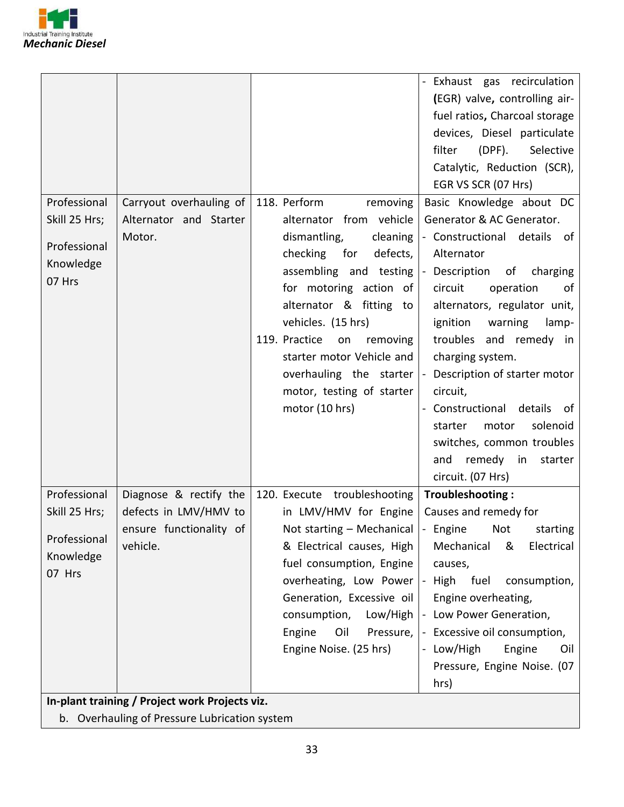

|               |                                                |                                 | Exhaust gas recirculation                        |
|---------------|------------------------------------------------|---------------------------------|--------------------------------------------------|
|               |                                                |                                 | (EGR) valve, controlling air-                    |
|               |                                                |                                 | fuel ratios, Charcoal storage                    |
|               |                                                |                                 | devices, Diesel particulate                      |
|               |                                                |                                 | filter<br>$(DPF)$ .<br>Selective                 |
|               |                                                |                                 | Catalytic, Reduction (SCR),                      |
|               |                                                |                                 | EGR VS SCR (07 Hrs)                              |
| Professional  | Carryout overhauling of                        | 118. Perform<br>removing        | Basic Knowledge about DC                         |
| Skill 25 Hrs; | Alternator and Starter                         | alternator from vehicle         | Generator & AC Generator.                        |
|               | Motor.                                         | dismantling,<br>cleaning        | - Constructional details of                      |
| Professional  |                                                | checking for<br>defects,        | Alternator                                       |
| Knowledge     |                                                |                                 | assembling and testing - Description of charging |
| 07 Hrs        |                                                | for motoring action of          | circuit<br>operation<br>of                       |
|               |                                                | alternator & fitting to         | alternators, regulator unit,                     |
|               |                                                | vehicles. (15 hrs)              | ignition<br>warning<br>lamp-                     |
|               |                                                | 119. Practice<br>on<br>removing | troubles and remedy in                           |
|               |                                                | starter motor Vehicle and       | charging system.                                 |
|               |                                                | overhauling the starter         | - Description of starter motor                   |
|               |                                                | motor, testing of starter       | circuit,                                         |
|               |                                                | motor (10 hrs)                  | Constructional details<br>of                     |
|               |                                                |                                 | solenoid<br>motor<br>starter                     |
|               |                                                |                                 | switches, common troubles                        |
|               |                                                |                                 | remedy in<br>and<br>starter                      |
|               |                                                |                                 | circuit. (07 Hrs)                                |
| Professional  | Diagnose & rectify the                         | 120. Execute troubleshooting    | Troubleshooting:                                 |
| Skill 25 Hrs; | defects in LMV/HMV to                          | in LMV/HMV for Engine           | Causes and remedy for                            |
|               | ensure functionality of                        | Not starting - Mechanical       | - Engine Not<br>starting                         |
| Professional  | vehicle.                                       | & Electrical causes, High       | Mechanical<br>&<br>Electrical                    |
| Knowledge     |                                                | fuel consumption, Engine        | causes,                                          |
| 07 Hrs        |                                                | overheating, Low Power          | fuel<br>High<br>consumption,<br>$\sim$           |
|               |                                                | Generation, Excessive oil       | Engine overheating,                              |
|               |                                                | consumption,<br>Low/High        | - Low Power Generation,                          |
|               |                                                | Engine<br>Oil<br>Pressure,      | Excessive oil consumption,                       |
|               |                                                | Engine Noise. (25 hrs)          | Low/High<br>Engine<br>Oil                        |
|               |                                                |                                 | Pressure, Engine Noise. (07                      |
|               |                                                |                                 | hrs)                                             |
|               | In-plant training / Project work Projects viz. |                                 |                                                  |
|               | b. Overhauling of Pressure Lubrication system  |                                 |                                                  |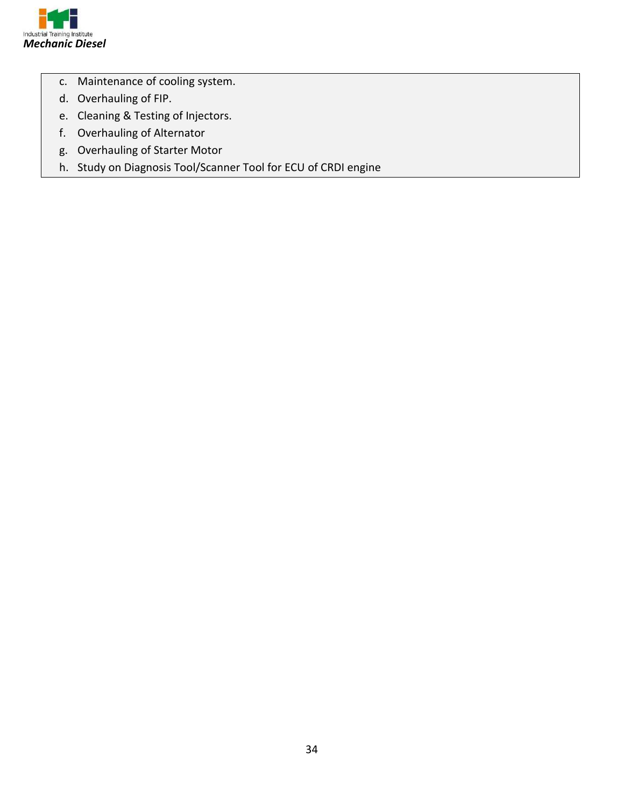

- c. Maintenance of cooling system.
- d. Overhauling of FIP.
- e. Cleaning & Testing of Injectors.
- f. Overhauling of Alternator
- g. Overhauling of Starter Motor
- h. Study on Diagnosis Tool/Scanner Tool for ECU of CRDI engine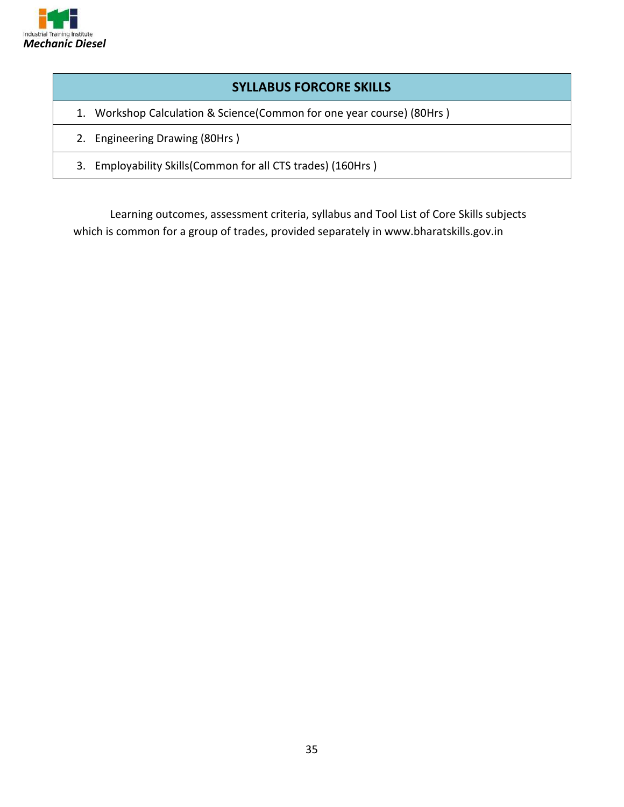

#### **SYLLABUS FORCORE SKILLS**

- 1. Workshop Calculation & Science(Common for one year course) (80Hrs )
- 2. Engineering Drawing (80Hrs )
- 3. Employability Skills(Common for all CTS trades) (160Hrs )

Learning outcomes, assessment criteria, syllabus and Tool List of Core Skills subjects which is common for a group of trades, provided separately in www.bharatskills.gov.in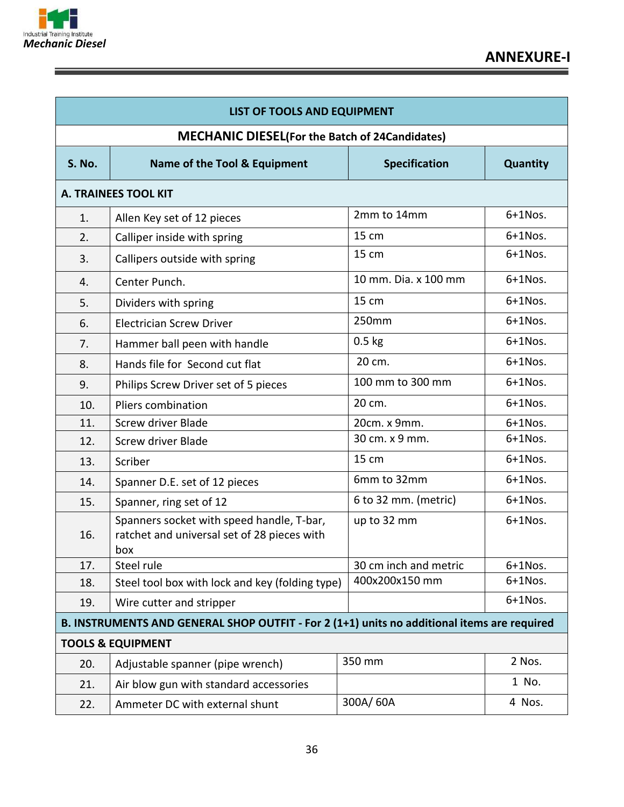

=

<u> 1989 - Johann Stoff, deutscher Stoffen und der Stoffen und der Stoffen und der Stoffen und der Stoffen und der</u>

⋍

| LIST OF TOOLS AND EQUIPMENT  |                                                                                                 |                       |            |  |  |  |
|------------------------------|-------------------------------------------------------------------------------------------------|-----------------------|------------|--|--|--|
|                              | <b>MECHANIC DIESEL (For the Batch of 24Candidates)</b>                                          |                       |            |  |  |  |
| <b>S. No.</b>                | Name of the Tool & Equipment                                                                    | <b>Specification</b>  | Quantity   |  |  |  |
|                              | <b>A. TRAINEES TOOL KIT</b>                                                                     |                       |            |  |  |  |
| 1.                           | Allen Key set of 12 pieces                                                                      | 2mm to 14mm           | $6+1$ Nos. |  |  |  |
| 2.                           | Calliper inside with spring                                                                     | 15 cm                 | $6+1$ Nos. |  |  |  |
| 3.                           | Callipers outside with spring                                                                   | 15 cm                 | $6+1$ Nos. |  |  |  |
| 4.                           | Center Punch.                                                                                   | 10 mm. Dia. x 100 mm  | $6+1$ Nos. |  |  |  |
| 5.                           | Dividers with spring                                                                            | 15 cm                 | $6+1$ Nos. |  |  |  |
| 6.                           | <b>Electrician Screw Driver</b>                                                                 | 250mm                 | $6+1$ Nos. |  |  |  |
| 7.                           | Hammer ball peen with handle                                                                    | $0.5$ kg              | $6+1$ Nos. |  |  |  |
| 8.                           | Hands file for Second cut flat                                                                  | 20 cm.                | $6+1$ Nos. |  |  |  |
| 9.                           | Philips Screw Driver set of 5 pieces                                                            | 100 mm to 300 mm      | $6+1$ Nos. |  |  |  |
| 10.                          | Pliers combination                                                                              | 20 cm.                | $6+1$ Nos. |  |  |  |
| 11.                          | Screw driver Blade                                                                              | 20cm. x 9mm.          | $6+1$ Nos. |  |  |  |
| 12.                          | Screw driver Blade                                                                              | 30 cm. x 9 mm.        | $6+1$ Nos. |  |  |  |
| 13.                          | Scriber                                                                                         | 15 cm                 | $6+1$ Nos. |  |  |  |
| 14.                          | Spanner D.E. set of 12 pieces                                                                   | 6mm to 32mm           | $6+1$ Nos. |  |  |  |
| 15.                          | Spanner, ring set of 12                                                                         | 6 to 32 mm. (metric)  | $6+1$ Nos. |  |  |  |
| 16.                          | Spanners socket with speed handle, T-bar,<br>ratchet and universal set of 28 pieces with<br>box | up to 32 mm           | $6+1$ Nos. |  |  |  |
| 17.                          | Steel rule                                                                                      | 30 cm inch and metric | $6+1$ Nos. |  |  |  |
| 18.                          | Steel tool box with lock and key (folding type)                                                 | 400x200x150 mm        | $6+1$ Nos. |  |  |  |
| 19.                          | Wire cutter and stripper                                                                        |                       | $6+1$ Nos. |  |  |  |
|                              | B. INSTRUMENTS AND GENERAL SHOP OUTFIT - For 2 (1+1) units no additional items are required     |                       |            |  |  |  |
| <b>TOOLS &amp; EQUIPMENT</b> |                                                                                                 |                       |            |  |  |  |
| 20.                          | Adjustable spanner (pipe wrench)                                                                | 350 mm                | 2 Nos.     |  |  |  |
| 21.                          | Air blow gun with standard accessories                                                          |                       | 1 No.      |  |  |  |
| 22.                          | Ammeter DC with external shunt                                                                  | 300A/60A              | 4 Nos.     |  |  |  |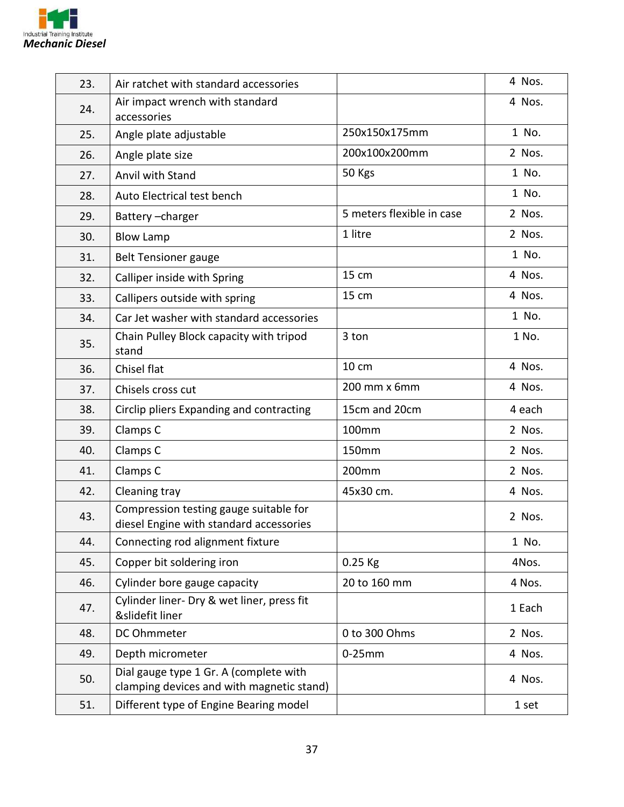

| 23. | Air ratchet with standard accessories                                               |                           | 4 Nos. |
|-----|-------------------------------------------------------------------------------------|---------------------------|--------|
| 24. | Air impact wrench with standard<br>accessories                                      |                           | 4 Nos. |
| 25. | Angle plate adjustable                                                              | 250x150x175mm             | 1 No.  |
| 26. | Angle plate size                                                                    | 200x100x200mm             | 2 Nos. |
| 27. | Anvil with Stand                                                                    | 50 Kgs                    | 1 No.  |
| 28. | Auto Electrical test bench                                                          |                           | 1 No.  |
| 29. | Battery-charger                                                                     | 5 meters flexible in case | 2 Nos. |
| 30. | <b>Blow Lamp</b>                                                                    | 1 litre                   | 2 Nos. |
| 31. | <b>Belt Tensioner gauge</b>                                                         |                           | 1 No.  |
| 32. | Calliper inside with Spring                                                         | 15 cm                     | 4 Nos. |
| 33. | Callipers outside with spring                                                       | 15 cm                     | 4 Nos. |
| 34. | Car Jet washer with standard accessories                                            |                           | 1 No.  |
| 35. | Chain Pulley Block capacity with tripod<br>stand                                    | 3 ton                     | 1 No.  |
| 36. | Chisel flat                                                                         | 10 cm                     | 4 Nos. |
| 37. | Chisels cross cut                                                                   | 200 mm x 6mm              | 4 Nos. |
| 38. | Circlip pliers Expanding and contracting                                            | 15cm and 20cm             | 4 each |
| 39. | Clamps C                                                                            | 100mm                     | 2 Nos. |
| 40. | Clamps C                                                                            | <b>150mm</b>              | 2 Nos. |
| 41. | Clamps C                                                                            | 200mm                     | 2 Nos. |
| 42. | Cleaning tray                                                                       | 45x30 cm.                 | 4 Nos. |
| 43. | Compression testing gauge suitable for<br>diesel Engine with standard accessories   |                           | 2 Nos. |
| 44. | Connecting rod alignment fixture                                                    |                           | 1 No.  |
| 45. | Copper bit soldering iron                                                           | $0.25$ Kg                 | 4Nos.  |
| 46. | Cylinder bore gauge capacity                                                        | 20 to 160 mm              | 4 Nos. |
| 47. | Cylinder liner- Dry & wet liner, press fit<br>&slidefit liner                       |                           | 1 Each |
| 48. | DC Ohmmeter                                                                         | 0 to 300 Ohms             | 2 Nos. |
| 49. | Depth micrometer                                                                    | $0-25$ mm                 | 4 Nos. |
| 50. | Dial gauge type 1 Gr. A (complete with<br>clamping devices and with magnetic stand) |                           | 4 Nos. |
| 51. | Different type of Engine Bearing model                                              |                           | 1 set  |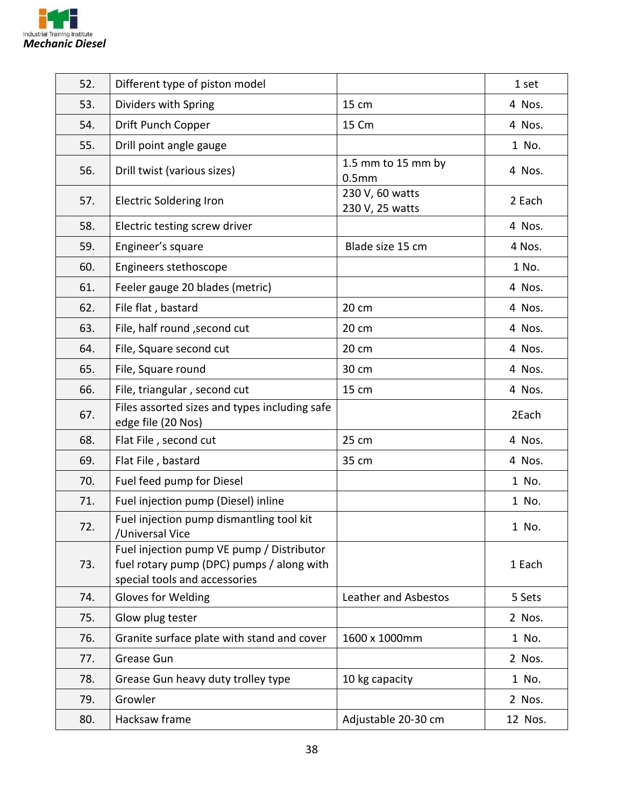

| 52. | Different type of piston model                                                                                          |                                         | 1 set   |
|-----|-------------------------------------------------------------------------------------------------------------------------|-----------------------------------------|---------|
| 53. | Dividers with Spring                                                                                                    | 15 cm                                   | 4 Nos.  |
| 54. | Drift Punch Copper                                                                                                      | 15 Cm                                   | 4 Nos.  |
| 55. | Drill point angle gauge                                                                                                 |                                         | 1 No.   |
| 56. | Drill twist (various sizes)                                                                                             | 1.5 mm to 15 mm by<br>0.5 <sub>mm</sub> | 4 Nos.  |
| 57. | <b>Electric Soldering Iron</b>                                                                                          | 230 V, 60 watts<br>230 V, 25 watts      | 2 Each  |
| 58. | Electric testing screw driver                                                                                           |                                         | 4 Nos.  |
| 59. | Engineer's square                                                                                                       | Blade size 15 cm                        | 4 Nos.  |
| 60. | Engineers stethoscope                                                                                                   |                                         | 1 No.   |
| 61. | Feeler gauge 20 blades (metric)                                                                                         |                                         | 4 Nos.  |
| 62. | File flat, bastard                                                                                                      | 20 cm                                   | 4 Nos.  |
| 63. | File, half round, second cut                                                                                            | 20 cm                                   | 4 Nos.  |
| 64. | File, Square second cut                                                                                                 | 20 cm                                   | 4 Nos.  |
| 65. | File, Square round                                                                                                      | 30 cm                                   | 4 Nos.  |
| 66. | File, triangular, second cut                                                                                            | 15 cm                                   | 4 Nos.  |
| 67. | Files assorted sizes and types including safe<br>edge file (20 Nos)                                                     |                                         | 2Each   |
| 68. | Flat File, second cut                                                                                                   | 25 cm                                   | 4 Nos.  |
| 69. | Flat File, bastard                                                                                                      | 35 cm                                   | 4 Nos.  |
| 70. | Fuel feed pump for Diesel                                                                                               |                                         | 1 No.   |
| 71. | Fuel injection pump (Diesel) inline                                                                                     |                                         | 1 No.   |
| 72. | Fuel injection pump dismantling tool kit<br>/Universal Vice                                                             |                                         | 1 No.   |
| 73. | Fuel injection pump VE pump / Distributor<br>fuel rotary pump (DPC) pumps / along with<br>special tools and accessories |                                         | 1 Each  |
| 74. | Gloves for Welding                                                                                                      | Leather and Asbestos                    | 5 Sets  |
| 75. | Glow plug tester                                                                                                        |                                         | 2 Nos.  |
| 76. | Granite surface plate with stand and cover                                                                              | 1600 x 1000mm                           | 1 No.   |
| 77. | Grease Gun                                                                                                              |                                         | 2 Nos.  |
| 78. | Grease Gun heavy duty trolley type                                                                                      | 10 kg capacity                          | 1 No.   |
| 79. | Growler                                                                                                                 |                                         | 2 Nos.  |
| 80. | Hacksaw frame                                                                                                           | Adjustable 20-30 cm                     | 12 Nos. |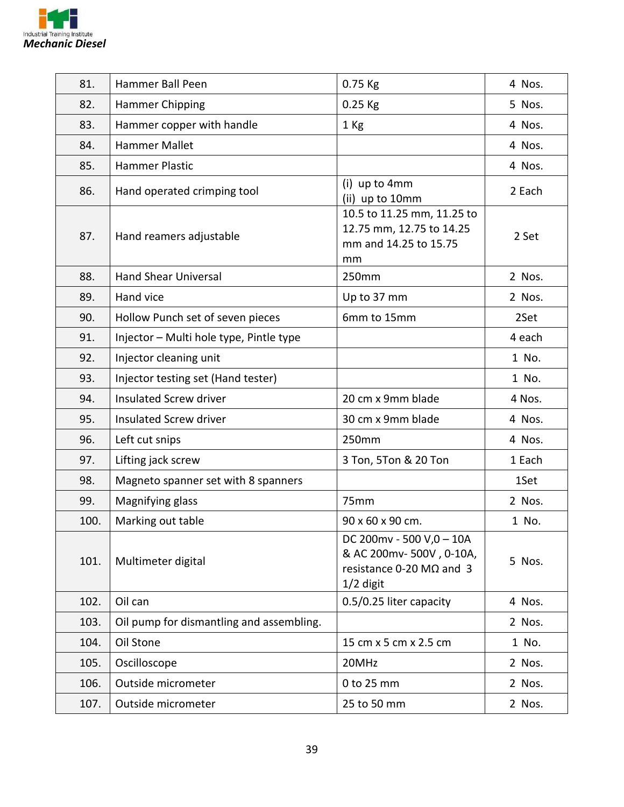

| 81.  | Hammer Ball Peen                         | $0.75$ Kg                                                                                              | 4 Nos. |
|------|------------------------------------------|--------------------------------------------------------------------------------------------------------|--------|
| 82.  | Hammer Chipping                          | $0.25$ Kg                                                                                              | 5 Nos. |
| 83.  | Hammer copper with handle                | 1 Kg                                                                                                   | 4 Nos. |
| 84.  | <b>Hammer Mallet</b>                     |                                                                                                        | 4 Nos. |
| 85.  | Hammer Plastic                           |                                                                                                        | 4 Nos. |
| 86.  | Hand operated crimping tool              | (i) up to 4mm<br>(ii) up to 10mm                                                                       | 2 Each |
| 87.  | Hand reamers adjustable                  | 10.5 to 11.25 mm, 11.25 to<br>12.75 mm, 12.75 to 14.25<br>mm and 14.25 to 15.75<br>mm                  | 2 Set  |
| 88.  | <b>Hand Shear Universal</b>              | 250mm                                                                                                  | 2 Nos. |
| 89.  | Hand vice                                | Up to 37 mm                                                                                            | 2 Nos. |
| 90.  | Hollow Punch set of seven pieces         | 6mm to 15mm                                                                                            | 2Set   |
| 91.  | Injector - Multi hole type, Pintle type  |                                                                                                        | 4 each |
| 92.  | Injector cleaning unit                   |                                                                                                        | 1 No.  |
| 93.  | Injector testing set (Hand tester)       |                                                                                                        | 1 No.  |
| 94.  | <b>Insulated Screw driver</b>            | 20 cm x 9mm blade                                                                                      | 4 Nos. |
| 95.  | <b>Insulated Screw driver</b>            | 30 cm x 9mm blade                                                                                      | 4 Nos. |
| 96.  | Left cut snips                           | 250mm                                                                                                  | 4 Nos. |
| 97.  | Lifting jack screw                       | 3 Ton, 5Ton & 20 Ton                                                                                   | 1 Each |
| 98.  | Magneto spanner set with 8 spanners      |                                                                                                        | 1Set   |
| 99.  | Magnifying glass                         | 75mm                                                                                                   | 2 Nos. |
| 100. | Marking out table                        | 90 x 60 x 90 cm.                                                                                       | 1 No.  |
| 101. | Multimeter digital                       | DC 200mv - 500 V,0 - 10A<br>& AC 200mv-500V, 0-10A,<br>resistance $0-20$ M $\Omega$ and 3<br>1/2 digit | 5 Nos. |
| 102. | Oil can                                  | 0.5/0.25 liter capacity                                                                                | 4 Nos. |
| 103. | Oil pump for dismantling and assembling. |                                                                                                        | 2 Nos. |
| 104. | Oil Stone                                | 15 cm x 5 cm x 2.5 cm                                                                                  | 1 No.  |
| 105. | Oscilloscope                             | 20MHz                                                                                                  | 2 Nos. |
| 106. | Outside micrometer                       | 0 to 25 mm                                                                                             | 2 Nos. |
| 107. | Outside micrometer                       | 25 to 50 mm                                                                                            | 2 Nos. |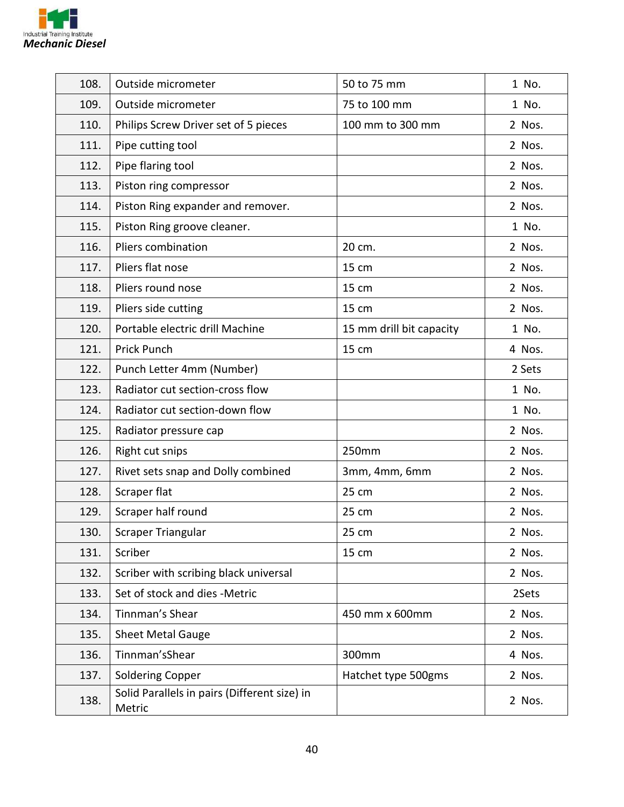

| 108. | Outside micrometer                                     | 50 to 75 mm              | 1 No.  |
|------|--------------------------------------------------------|--------------------------|--------|
| 109. | Outside micrometer                                     | 75 to 100 mm             | 1 No.  |
| 110. | Philips Screw Driver set of 5 pieces                   | 100 mm to 300 mm         | 2 Nos. |
| 111. | Pipe cutting tool                                      |                          | 2 Nos. |
| 112. | Pipe flaring tool                                      |                          | 2 Nos. |
| 113. | Piston ring compressor                                 |                          | 2 Nos. |
| 114. | Piston Ring expander and remover.                      |                          | 2 Nos. |
| 115. | Piston Ring groove cleaner.                            |                          | 1 No.  |
| 116. | Pliers combination                                     | 20 cm.                   | 2 Nos. |
| 117. | Pliers flat nose                                       | 15 cm                    | 2 Nos. |
| 118. | Pliers round nose                                      | 15 cm                    | 2 Nos. |
| 119. | Pliers side cutting                                    | 15 cm                    | 2 Nos. |
| 120. | Portable electric drill Machine                        | 15 mm drill bit capacity | 1 No.  |
| 121. | Prick Punch                                            | 15 cm                    | 4 Nos. |
| 122. | Punch Letter 4mm (Number)                              |                          | 2 Sets |
| 123. | Radiator cut section-cross flow                        |                          | 1 No.  |
| 124. | Radiator cut section-down flow                         |                          | 1 No.  |
| 125. | Radiator pressure cap                                  |                          | 2 Nos. |
| 126. | Right cut snips                                        | 250mm                    | 2 Nos. |
| 127. | Rivet sets snap and Dolly combined                     | 3mm, 4mm, 6mm            | 2 Nos. |
| 128. | Scraper flat                                           | 25 cm                    | 2 Nos. |
| 129. | Scraper half round                                     | 25 cm                    | 2 Nos. |
| 130. | Scraper Triangular                                     | 25 cm                    | 2 Nos. |
| 131. | Scriber                                                | 15 cm                    | 2 Nos. |
| 132. | Scriber with scribing black universal                  |                          | 2 Nos. |
| 133. | Set of stock and dies -Metric                          |                          | 2Sets  |
| 134. | Tinnman's Shear                                        | 450 mm x 600mm           | 2 Nos. |
| 135. | <b>Sheet Metal Gauge</b>                               |                          | 2 Nos. |
| 136. | Tinnman'sShear                                         | 300mm                    | 4 Nos. |
| 137. | <b>Soldering Copper</b>                                | Hatchet type 500gms      | 2 Nos. |
| 138. | Solid Parallels in pairs (Different size) in<br>Metric |                          | 2 Nos. |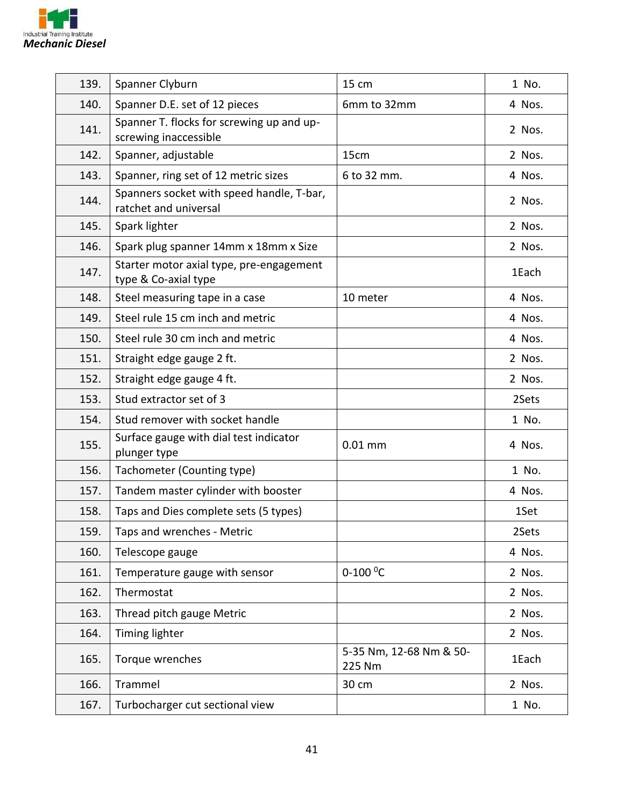

| 139. | Spanner Clyburn                                                    | 15 cm                             | 1 No.  |
|------|--------------------------------------------------------------------|-----------------------------------|--------|
| 140. | Spanner D.E. set of 12 pieces                                      | 6mm to 32mm                       | 4 Nos. |
| 141. | Spanner T. flocks for screwing up and up-<br>screwing inaccessible |                                   | 2 Nos. |
| 142. | Spanner, adjustable                                                | 15cm                              | 2 Nos. |
| 143. | Spanner, ring set of 12 metric sizes                               | 6 to 32 mm.                       | 4 Nos. |
| 144. | Spanners socket with speed handle, T-bar,<br>ratchet and universal |                                   | 2 Nos. |
| 145. | Spark lighter                                                      |                                   | 2 Nos. |
| 146. | Spark plug spanner 14mm x 18mm x Size                              |                                   | 2 Nos. |
| 147. | Starter motor axial type, pre-engagement<br>type & Co-axial type   |                                   | 1Each  |
| 148. | Steel measuring tape in a case                                     | 10 meter                          | 4 Nos. |
| 149. | Steel rule 15 cm inch and metric                                   |                                   | 4 Nos. |
| 150. | Steel rule 30 cm inch and metric                                   |                                   | 4 Nos. |
| 151. | Straight edge gauge 2 ft.                                          |                                   | 2 Nos. |
| 152. | Straight edge gauge 4 ft.                                          |                                   | 2 Nos. |
| 153. | Stud extractor set of 3                                            |                                   | 2Sets  |
| 154. | Stud remover with socket handle                                    |                                   | 1 No.  |
| 155. | Surface gauge with dial test indicator<br>plunger type             | $0.01$ mm                         | 4 Nos. |
| 156. | Tachometer (Counting type)                                         |                                   | 1 No.  |
| 157. | Tandem master cylinder with booster                                |                                   | 4 Nos. |
| 158. | Taps and Dies complete sets (5 types)                              |                                   | 1Set   |
| 159. | Taps and wrenches - Metric                                         |                                   | 2Sets  |
| 160. | Telescope gauge                                                    |                                   | 4 Nos. |
| 161. | Temperature gauge with sensor                                      | $0-100$ <sup>o</sup> C            | 2 Nos. |
| 162. | Thermostat                                                         |                                   | 2 Nos. |
| 163. | Thread pitch gauge Metric                                          |                                   | 2 Nos. |
| 164. | Timing lighter                                                     |                                   | 2 Nos. |
| 165. | Torque wrenches                                                    | 5-35 Nm, 12-68 Nm & 50-<br>225 Nm | 1Each  |
| 166. | Trammel                                                            | 30 cm                             | 2 Nos. |
| 167. | Turbocharger cut sectional view                                    |                                   | 1 No.  |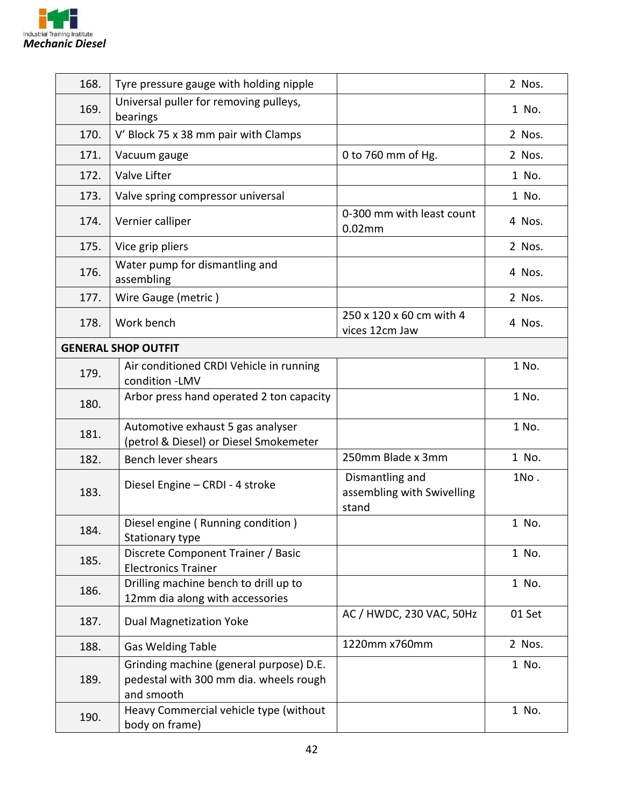

| 168.                       | Tyre pressure gauge with holding nipple                                                         |                                                        | 2 Nos. |
|----------------------------|-------------------------------------------------------------------------------------------------|--------------------------------------------------------|--------|
| 169.                       | Universal puller for removing pulleys,<br>bearings                                              |                                                        | 1 No.  |
| 170.                       | V' Block 75 x 38 mm pair with Clamps                                                            |                                                        | 2 Nos. |
| 171.                       | Vacuum gauge                                                                                    | 0 to 760 mm of Hg.                                     | 2 Nos. |
| 172.                       | Valve Lifter                                                                                    |                                                        | 1 No.  |
| 173.                       | Valve spring compressor universal                                                               |                                                        | 1 No.  |
| 174.                       | Vernier calliper                                                                                | 0-300 mm with least count<br>$0.02$ mm                 | 4 Nos. |
| 175.                       | Vice grip pliers                                                                                |                                                        | 2 Nos. |
| 176.                       | Water pump for dismantling and<br>assembling                                                    |                                                        | 4 Nos. |
| 177.                       | Wire Gauge (metric)                                                                             |                                                        | 2 Nos. |
| 178.                       | Work bench                                                                                      | 250 x 120 x 60 cm with 4<br>vices 12cm Jaw             | 4 Nos. |
| <b>GENERAL SHOP OUTFIT</b> |                                                                                                 |                                                        |        |
| 179.                       | Air conditioned CRDI Vehicle in running<br>condition -LMV                                       |                                                        | 1 No.  |
| 180.                       | Arbor press hand operated 2 ton capacity                                                        |                                                        | 1 No.  |
| 181.                       | Automotive exhaust 5 gas analyser<br>(petrol & Diesel) or Diesel Smokemeter                     |                                                        | 1 No.  |
| 182.                       | Bench lever shears                                                                              | 250mm Blade x 3mm                                      | 1 No.  |
| 183.                       | Diesel Engine - CRDI - 4 stroke                                                                 | Dismantling and<br>assembling with Swivelling<br>stand | 1No.   |
| 184.                       | Diesel engine (Running condition)<br>Stationary type                                            |                                                        | 1 No.  |
| 185.                       | Discrete Component Trainer / Basic<br><b>Electronics Trainer</b>                                |                                                        | 1 No.  |
| 186.                       | Drilling machine bench to drill up to<br>12mm dia along with accessories                        |                                                        | 1 No.  |
| 187.                       | <b>Dual Magnetization Yoke</b>                                                                  | AC / HWDC, 230 VAC, 50Hz                               | 01 Set |
| 188.                       | <b>Gas Welding Table</b>                                                                        | 1220mm x760mm                                          | 2 Nos. |
| 189.                       | Grinding machine (general purpose) D.E.<br>pedestal with 300 mm dia. wheels rough<br>and smooth |                                                        | 1 No.  |
| 190.                       | Heavy Commercial vehicle type (without<br>body on frame)                                        |                                                        | 1 No.  |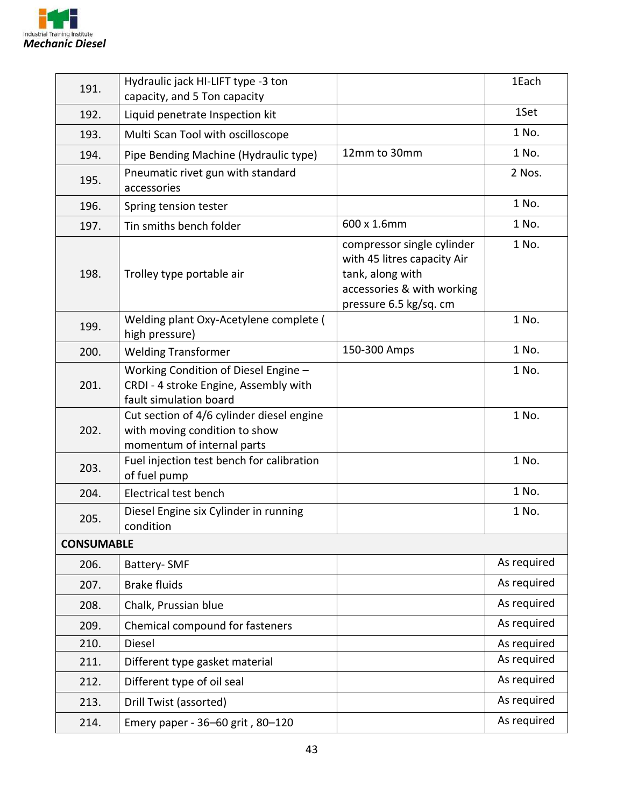

| 191.              | Hydraulic jack HI-LIFT type -3 ton<br>capacity, and 5 Ton capacity                                       |                                                                                                                                       | 1Each       |
|-------------------|----------------------------------------------------------------------------------------------------------|---------------------------------------------------------------------------------------------------------------------------------------|-------------|
| 192.              | Liquid penetrate Inspection kit                                                                          |                                                                                                                                       | 1Set        |
| 193.              | Multi Scan Tool with oscilloscope                                                                        |                                                                                                                                       | 1 No.       |
| 194.              | Pipe Bending Machine (Hydraulic type)                                                                    | 12mm to 30mm                                                                                                                          | 1 No.       |
| 195.              | Pneumatic rivet gun with standard<br>accessories                                                         |                                                                                                                                       | 2 Nos.      |
| 196.              | Spring tension tester                                                                                    |                                                                                                                                       | 1 No.       |
| 197.              | Tin smiths bench folder                                                                                  | 600 x 1.6mm                                                                                                                           | 1 No.       |
| 198.              | Trolley type portable air                                                                                | compressor single cylinder<br>with 45 litres capacity Air<br>tank, along with<br>accessories & with working<br>pressure 6.5 kg/sq. cm | 1 No.       |
| 199.              | Welding plant Oxy-Acetylene complete (<br>high pressure)                                                 |                                                                                                                                       | 1 No.       |
| 200.              | <b>Welding Transformer</b>                                                                               | 150-300 Amps                                                                                                                          | 1 No.       |
| 201.              | Working Condition of Diesel Engine -<br>CRDI - 4 stroke Engine, Assembly with<br>fault simulation board  |                                                                                                                                       | 1 No.       |
| 202.              | Cut section of 4/6 cylinder diesel engine<br>with moving condition to show<br>momentum of internal parts |                                                                                                                                       | 1 No.       |
| 203.              | Fuel injection test bench for calibration<br>of fuel pump                                                |                                                                                                                                       | 1 No.       |
| 204.              | Electrical test bench                                                                                    |                                                                                                                                       | 1 No.       |
| 205.              | Diesel Engine six Cylinder in running<br>condition                                                       |                                                                                                                                       | 1 No.       |
| <b>CONSUMABLE</b> |                                                                                                          |                                                                                                                                       |             |
| 206.              | Battery-SMF                                                                                              |                                                                                                                                       | As required |
| 207.              | <b>Brake fluids</b>                                                                                      |                                                                                                                                       | As required |
| 208.              | Chalk, Prussian blue                                                                                     |                                                                                                                                       | As required |
| 209.              | Chemical compound for fasteners                                                                          |                                                                                                                                       | As required |
| 210.              | <b>Diesel</b>                                                                                            |                                                                                                                                       | As required |
| 211.              | Different type gasket material                                                                           |                                                                                                                                       | As required |
| 212.              | Different type of oil seal                                                                               |                                                                                                                                       | As required |
| 213.              | Drill Twist (assorted)                                                                                   |                                                                                                                                       | As required |
| 214.              | Emery paper - 36-60 grit, 80-120                                                                         |                                                                                                                                       | As required |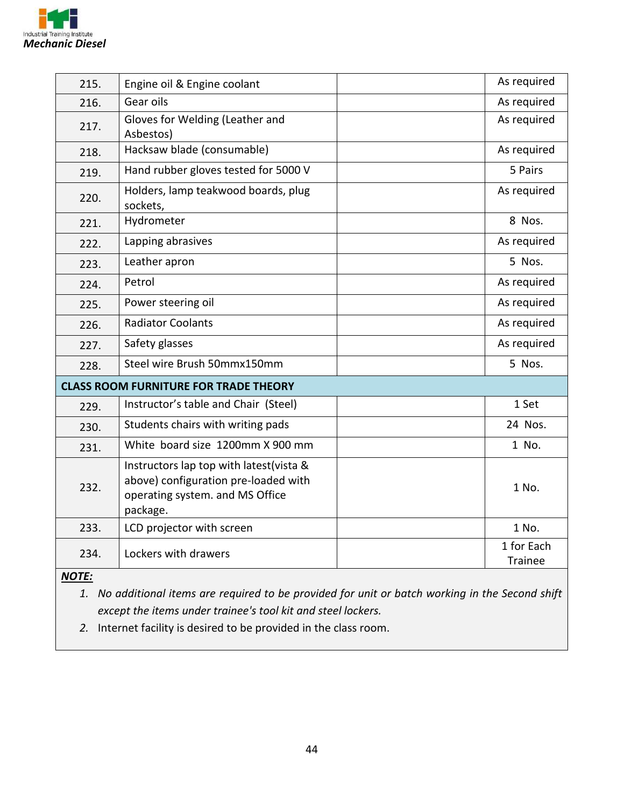

| 215.                                         | Engine oil & Engine coolant                                                                                                    | As required                  |
|----------------------------------------------|--------------------------------------------------------------------------------------------------------------------------------|------------------------------|
| 216.                                         | Gear oils                                                                                                                      | As required                  |
| 217.                                         | Gloves for Welding (Leather and<br>Asbestos)                                                                                   | As required                  |
| 218.                                         | Hacksaw blade (consumable)                                                                                                     | As required                  |
| 219.                                         | Hand rubber gloves tested for 5000 V                                                                                           | 5 Pairs                      |
| 220.                                         | Holders, lamp teakwood boards, plug<br>sockets,                                                                                | As required                  |
| 221.                                         | Hydrometer                                                                                                                     | 8 Nos.                       |
| 222.                                         | Lapping abrasives                                                                                                              | As required                  |
| 223.                                         | Leather apron                                                                                                                  | 5 Nos.                       |
| 224.                                         | Petrol                                                                                                                         | As required                  |
| 225.                                         | Power steering oil                                                                                                             | As required                  |
| 226.                                         | <b>Radiator Coolants</b>                                                                                                       | As required                  |
| 227.                                         | Safety glasses                                                                                                                 | As required                  |
| 228.                                         | Steel wire Brush 50mmx150mm                                                                                                    | 5 Nos.                       |
| <b>CLASS ROOM FURNITURE FOR TRADE THEORY</b> |                                                                                                                                |                              |
| 229.                                         | Instructor's table and Chair (Steel)                                                                                           | 1 Set                        |
| 230.                                         | Students chairs with writing pads                                                                                              | 24 Nos.                      |
| 231.                                         | White board size 1200mm X 900 mm                                                                                               | 1 No.                        |
| 232.                                         | Instructors lap top with latest(vista &<br>above) configuration pre-loaded with<br>operating system. and MS Office<br>package. | 1 No.                        |
| 233.                                         | LCD projector with screen                                                                                                      | 1 No.                        |
| 234.                                         | Lockers with drawers                                                                                                           | 1 for Each<br><b>Trainee</b> |

*NOTE:* 

*1. No additional items are required to be provided for unit or batch working in the Second shift except the items under trainee's tool kit and steel lockers.* 

*2.* Internet facility is desired to be provided in the class room.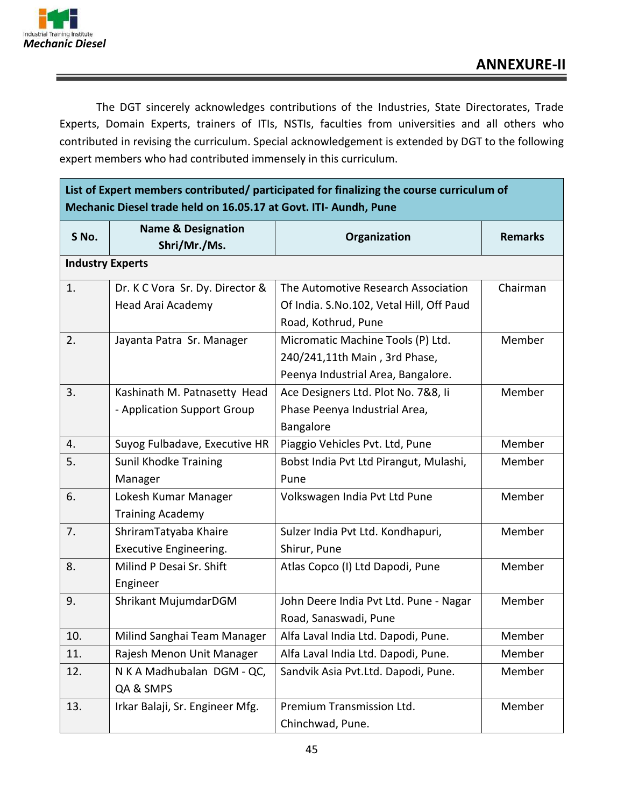

The DGT sincerely acknowledges contributions of the Industries, State Directorates, Trade Experts, Domain Experts, trainers of ITIs, NSTIs, faculties from universities and all others who contributed in revising the curriculum. Special acknowledgement is extended by DGT to the following expert members who had contributed immensely in this curriculum.

**List of Expert members contributed/ participated for finalizing the course curriculum of Mechanic Diesel trade held on 16.05.17 at Govt. ITI- Aundh, Pune**

| S No.                   | <b>Name &amp; Designation</b><br>Shri/Mr./Ms. | Organization                             | <b>Remarks</b> |
|-------------------------|-----------------------------------------------|------------------------------------------|----------------|
| <b>Industry Experts</b> |                                               |                                          |                |
| 1.                      | Dr. K C Vora Sr. Dy. Director &               | The Automotive Research Association      | Chairman       |
|                         | Head Arai Academy                             | Of India. S.No.102, Vetal Hill, Off Paud |                |
|                         |                                               | Road, Kothrud, Pune                      |                |
| 2.                      | Jayanta Patra Sr. Manager                     | Micromatic Machine Tools (P) Ltd.        | Member         |
|                         |                                               | 240/241,11th Main, 3rd Phase,            |                |
|                         |                                               | Peenya Industrial Area, Bangalore.       |                |
| 3.                      | Kashinath M. Patnasetty Head                  | Ace Designers Ltd. Plot No. 7&8, Ii      | Member         |
|                         | - Application Support Group                   | Phase Peenya Industrial Area,            |                |
|                         |                                               | Bangalore                                |                |
| 4.                      | Suyog Fulbadave, Executive HR                 | Piaggio Vehicles Pvt. Ltd, Pune          | Member         |
| 5.                      | <b>Sunil Khodke Training</b>                  | Bobst India Pvt Ltd Pirangut, Mulashi,   | Member         |
|                         | Manager                                       | Pune                                     |                |
| 6.                      | Lokesh Kumar Manager                          | Volkswagen India Pvt Ltd Pune            | Member         |
|                         | <b>Training Academy</b>                       |                                          |                |
| 7.                      | ShriramTatyaba Khaire                         | Sulzer India Pvt Ltd. Kondhapuri,        | Member         |
|                         | Executive Engineering.                        | Shirur, Pune                             |                |
| 8.                      | Milind P Desai Sr. Shift                      | Atlas Copco (I) Ltd Dapodi, Pune         | Member         |
|                         | Engineer                                      |                                          |                |
| 9.                      | Shrikant MujumdarDGM                          | John Deere India Pvt Ltd. Pune - Nagar   | Member         |
|                         |                                               | Road, Sanaswadi, Pune                    |                |
| 10.                     | Milind Sanghai Team Manager                   | Alfa Laval India Ltd. Dapodi, Pune.      | Member         |
| 11.                     | Rajesh Menon Unit Manager                     | Alfa Laval India Ltd. Dapodi, Pune.      | Member         |
| 12.                     | N K A Madhubalan DGM - QC,                    | Sandvik Asia Pvt.Ltd. Dapodi, Pune.      | Member         |
|                         | QA & SMPS                                     |                                          |                |
| 13.                     | Irkar Balaji, Sr. Engineer Mfg.               | Premium Transmission Ltd.                | Member         |
|                         |                                               | Chinchwad, Pune.                         |                |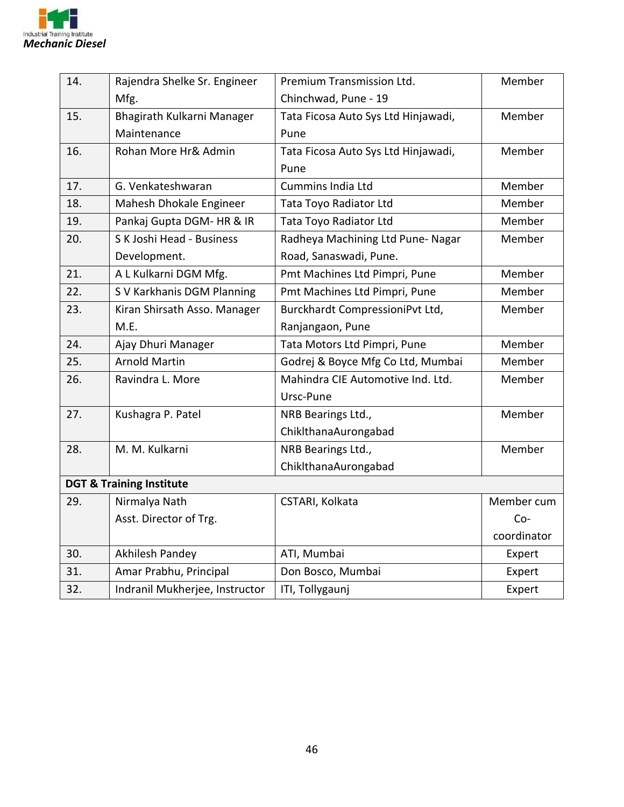

| 14.                                 | Rajendra Shelke Sr. Engineer   | Premium Transmission Ltd.           | Member      |
|-------------------------------------|--------------------------------|-------------------------------------|-------------|
|                                     | Mfg.                           | Chinchwad, Pune - 19                |             |
| 15.                                 | Bhagirath Kulkarni Manager     | Tata Ficosa Auto Sys Ltd Hinjawadi, | Member      |
|                                     | Maintenance                    | Pune                                |             |
| 16.                                 | Rohan More Hr& Admin           | Tata Ficosa Auto Sys Ltd Hinjawadi, | Member      |
|                                     |                                | Pune                                |             |
| 17.                                 | G. Venkateshwaran              | <b>Cummins India Ltd</b>            | Member      |
| 18.                                 | Mahesh Dhokale Engineer        | Tata Toyo Radiator Ltd              | Member      |
| 19.                                 | Pankaj Gupta DGM- HR & IR      | Tata Toyo Radiator Ltd              | Member      |
| 20.                                 | S K Joshi Head - Business      | Radheya Machining Ltd Pune-Nagar    | Member      |
|                                     | Development.                   | Road, Sanaswadi, Pune.              |             |
| 21.                                 | A L Kulkarni DGM Mfg.          | Pmt Machines Ltd Pimpri, Pune       | Member      |
| 22.                                 | S V Karkhanis DGM Planning     | Pmt Machines Ltd Pimpri, Pune       | Member      |
| 23.                                 | Kiran Shirsath Asso. Manager   | Burckhardt CompressioniPvt Ltd,     | Member      |
|                                     | M.E.                           | Ranjangaon, Pune                    |             |
| 24.                                 | Ajay Dhuri Manager             | Tata Motors Ltd Pimpri, Pune        | Member      |
| 25.                                 | <b>Arnold Martin</b>           | Godrej & Boyce Mfg Co Ltd, Mumbai   | Member      |
| 26.                                 | Ravindra L. More               | Mahindra CIE Automotive Ind. Ltd.   | Member      |
|                                     |                                | Ursc-Pune                           |             |
| 27.                                 | Kushagra P. Patel              | NRB Bearings Ltd.,                  | Member      |
|                                     |                                | ChiklthanaAurongabad                |             |
| 28.                                 | M. M. Kulkarni                 | NRB Bearings Ltd.,                  | Member      |
|                                     |                                | ChiklthanaAurongabad                |             |
| <b>DGT &amp; Training Institute</b> |                                |                                     |             |
| 29.                                 | Nirmalya Nath                  | CSTARI, Kolkata                     | Member cum  |
|                                     | Asst. Director of Trg.         |                                     | $Co-$       |
|                                     |                                |                                     | coordinator |
| 30.                                 | Akhilesh Pandey                | ATI, Mumbai                         | Expert      |
| 31.                                 | Amar Prabhu, Principal         | Don Bosco, Mumbai                   | Expert      |
| 32.                                 | Indranil Mukherjee, Instructor | ITI, Tollygaunj                     | Expert      |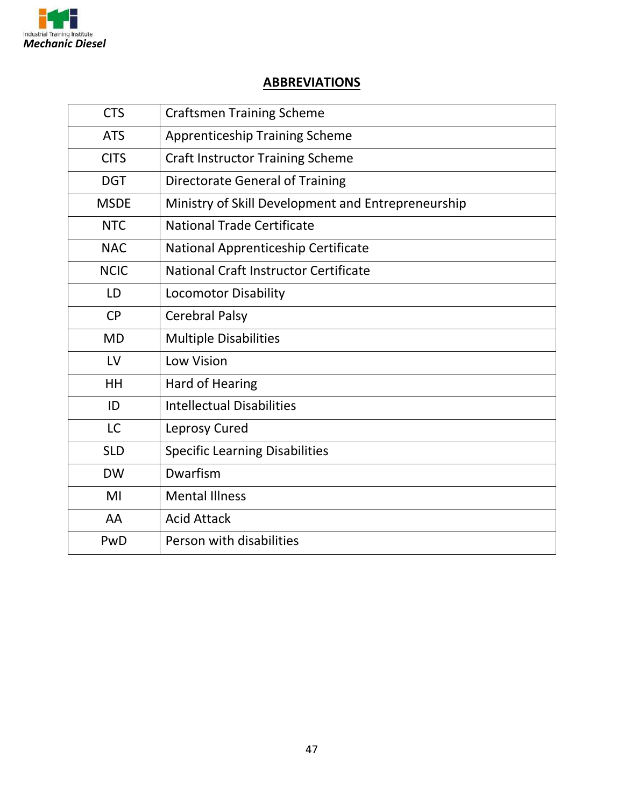

#### **ABBREVIATIONS**

| <b>CTS</b>  | <b>Craftsmen Training Scheme</b>                   |
|-------------|----------------------------------------------------|
| <b>ATS</b>  | <b>Apprenticeship Training Scheme</b>              |
| <b>CITS</b> | <b>Craft Instructor Training Scheme</b>            |
| <b>DGT</b>  | <b>Directorate General of Training</b>             |
| <b>MSDE</b> | Ministry of Skill Development and Entrepreneurship |
| <b>NTC</b>  | <b>National Trade Certificate</b>                  |
| <b>NAC</b>  | National Apprenticeship Certificate                |
| <b>NCIC</b> | National Craft Instructor Certificate              |
| LD          | <b>Locomotor Disability</b>                        |
| CP          | <b>Cerebral Palsy</b>                              |
| <b>MD</b>   | <b>Multiple Disabilities</b>                       |
| LV          | <b>Low Vision</b>                                  |
| HH          | Hard of Hearing                                    |
| ID          | <b>Intellectual Disabilities</b>                   |
| <b>LC</b>   | Leprosy Cured                                      |
| <b>SLD</b>  | <b>Specific Learning Disabilities</b>              |
| <b>DW</b>   | Dwarfism                                           |
| MI          | <b>Mental Illness</b>                              |
| AA          | <b>Acid Attack</b>                                 |
| PwD         | Person with disabilities                           |